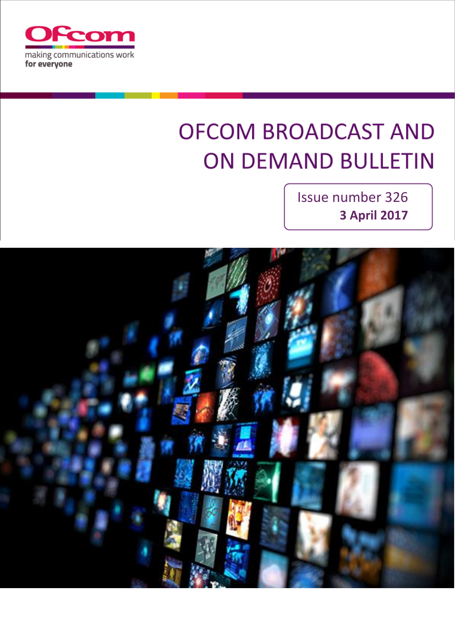

# **OFCOM BROADCAST AND ON DEMAND BULLETIN**

Issue number 326 **3 April 2017**

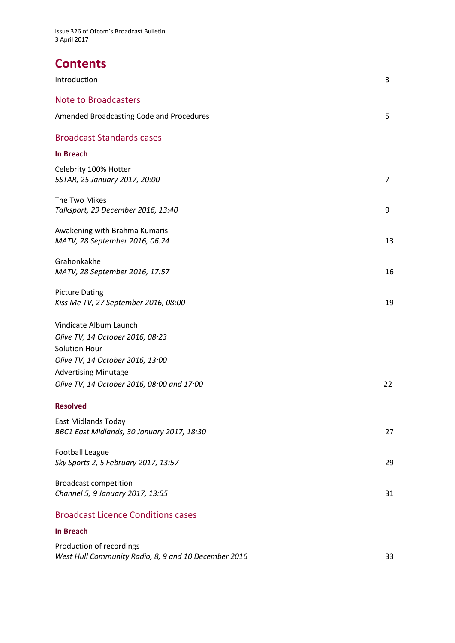# **Contents**

| Introduction                                                                                                                                                                                        | 3              |
|-----------------------------------------------------------------------------------------------------------------------------------------------------------------------------------------------------|----------------|
| <b>Note to Broadcasters</b>                                                                                                                                                                         |                |
| <b>Amended Broadcasting Code and Procedures</b>                                                                                                                                                     | 5              |
| <b>Broadcast Standards cases</b>                                                                                                                                                                    |                |
| <b>In Breach</b>                                                                                                                                                                                    |                |
| Celebrity 100% Hotter<br>5STAR, 25 January 2017, 20:00                                                                                                                                              | $\overline{7}$ |
| The Two Mikes<br>Talksport, 29 December 2016, 13:40                                                                                                                                                 | 9              |
| Awakening with Brahma Kumaris<br>MATV, 28 September 2016, 06:24                                                                                                                                     | 13             |
| Grahonkakhe<br>MATV, 28 September 2016, 17:57                                                                                                                                                       | 16             |
| <b>Picture Dating</b><br>Kiss Me TV, 27 September 2016, 08:00                                                                                                                                       | 19             |
| Vindicate Album Launch<br>Olive TV, 14 October 2016, 08:23<br><b>Solution Hour</b><br>Olive TV, 14 October 2016, 13:00<br><b>Advertising Minutage</b><br>Olive TV, 14 October 2016, 08:00 and 17:00 | 22             |
| <b>Resolved</b>                                                                                                                                                                                     |                |
| <b>East Midlands Today</b><br>BBC1 East Midlands, 30 January 2017, 18:30                                                                                                                            | 27             |
| <b>Football League</b><br>Sky Sports 2, 5 February 2017, 13:57                                                                                                                                      | 29             |
| <b>Broadcast competition</b><br>Channel 5, 9 January 2017, 13:55                                                                                                                                    | 31             |
| <b>Broadcast Licence Conditions cases</b>                                                                                                                                                           |                |
| <b>In Breach</b>                                                                                                                                                                                    |                |
| Production of recordings                                                                                                                                                                            |                |

*West Hull Community Radio, 8, 9 and 10 December 2016* 33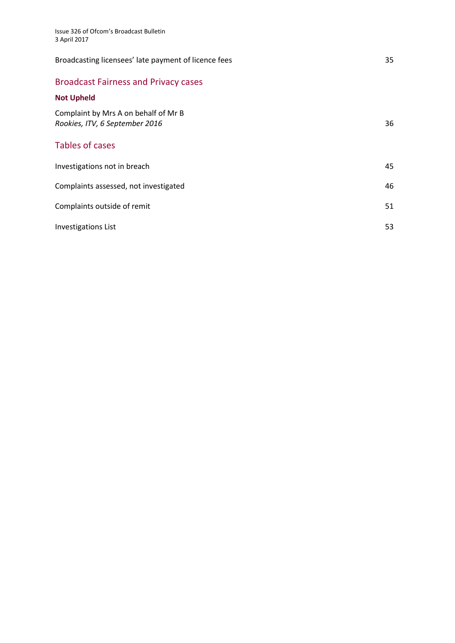| Broadcasting licensees' late payment of licence fees                   | 35 |
|------------------------------------------------------------------------|----|
| <b>Broadcast Fairness and Privacy cases</b>                            |    |
| <b>Not Upheld</b>                                                      |    |
| Complaint by Mrs A on behalf of Mr B<br>Rookies, ITV, 6 September 2016 | 36 |
| Tables of cases                                                        |    |
| Investigations not in breach                                           | 45 |
| Complaints assessed, not investigated                                  | 46 |
| Complaints outside of remit                                            | 51 |
| <b>Investigations List</b>                                             | 53 |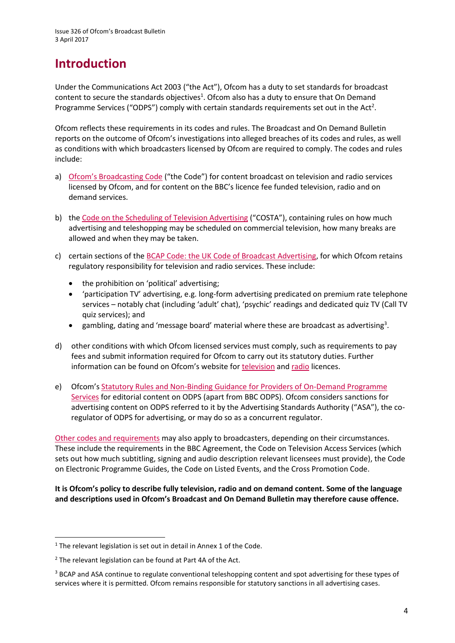# **Introduction**

Under the Communications Act 2003 ("the Act"), Ofcom has a duty to set standards for broadcast content to secure the standards objectives<sup>1</sup>. Ofcom also has a duty to ensure that On Demand Programme Services ("ODPS") comply with certain standards requirements set out in the Act<sup>2</sup>.

Ofcom reflects these requirements in its codes and rules. The Broadcast and On Demand Bulletin reports on the outcome of Ofcom's investigations into alleged breaches of its codes and rules, as well as conditions with which broadcasters licensed by Ofcom are required to comply. The codes and rules include:

- a) [Ofcom's Broadcasting Code](http://stakeholders.ofcom.org.uk/broadcasting/broadcast-codes/broadcast-code/) ("the Code") for content broadcast on television and radio services licensed by Ofcom, and for content on the BBC's licence fee funded television, radio and on demand services.
- b) the [Code on the Scheduling of Television Advertising](https://www.ofcom.org.uk/__data/assets/pdf_file/0014/32162/costa-april-2016.pdf) ("COSTA"), containing rules on how much advertising and teleshopping may be scheduled on commercial television, how many breaks are allowed and when they may be taken.
- c) certain sections of th[e BCAP Code: the UK Code of Broadcast Advertising,](https://www.cap.org.uk/Advertising-Codes/Broadcast.aspx) for which Ofcom retains regulatory responsibility for television and radio services. These include:
	- the prohibition on 'political' advertising;
	- 'participation TV' advertising, e.g. long-form advertising predicated on premium rate telephone services – notably chat (including 'adult' chat), 'psychic' readings and dedicated quiz TV (Call TV quiz services); and
	- $\bullet$  gambling, dating and 'message board' material where these are broadcast as advertising<sup>3</sup>.
- d) other conditions with which Ofcom licensed services must comply, such as requirements to pay fees and submit information required for Ofcom to carry out its statutory duties. Further information can be found on Ofcom's website for [television](http://licensing.ofcom.org.uk/tv-broadcast-licences/) an[d radio](http://licensing.ofcom.org.uk/radio-broadcast-licensing/) licences.
- e) Ofcom's [Statutory Rules and Non-Binding Guidance for Providers of On-Demand Programme](http://stakeholders.ofcom.org.uk/binaries/broadcast/on-demand/rules-guidance/rules_and_guidance.pdf)  [Services](http://stakeholders.ofcom.org.uk/binaries/broadcast/on-demand/rules-guidance/rules_and_guidance.pdf) for editorial content on ODPS (apart from BBC ODPS). Ofcom considers sanctions for advertising content on ODPS referred to it by the Advertising Standards Authority ("ASA"), the coregulator of ODPS for advertising, or may do so as a concurrent regulator.

[Other codes and requirements](http://stakeholders.ofcom.org.uk/broadcasting/broadcast-codes/) may also apply to broadcasters, depending on their circumstances. These include the requirements in the BBC Agreement, the Code on Television Access Services (which sets out how much subtitling, signing and audio description relevant licensees must provide), the Code on Electronic Programme Guides, the Code on Listed Events, and the Cross Promotion Code.

**It is Ofcom's policy to describe fully television, radio and on demand content. Some of the language and descriptions used in Ofcom's Broadcast and On Demand Bulletin may therefore cause offence.**

 $\overline{a}$ 

 $1$  The relevant legislation is set out in detail in Annex 1 of the Code.

 $2$  The relevant legislation can be found at Part 4A of the Act.

<sup>&</sup>lt;sup>3</sup> BCAP and ASA continue to regulate conventional teleshopping content and spot advertising for these types of services where it is permitted. Ofcom remains responsible for statutory sanctions in all advertising cases.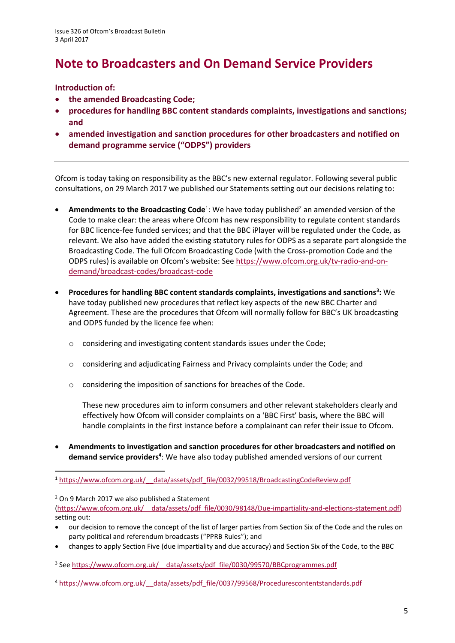# **Note to Broadcasters and On Demand Service Providers**

#### **Introduction of:**

- **the amended Broadcasting Code;**
- **procedures for handling BBC content standards complaints, investigations and sanctions; and**
- **amended investigation and sanction procedures for other broadcasters and notified on demand programme service ("ODPS") providers**

Ofcom is today taking on responsibility as the BBC's new external regulator. Following several public consultations, on 29 March 2017 we published our Statements setting out our decisions relating to:

- **Amendments to the Broadcasting Code**<sup>1</sup>: We have today published<sup>2</sup> an amended version of the Code to make clear: the areas where Ofcom has new responsibility to regulate content standards for BBC licence-fee funded services; and that the BBC iPlayer will be regulated under the Code, as relevant. We also have added the existing statutory rules for ODPS as a separate part alongside the Broadcasting Code. The full Ofcom Broadcasting Code (with the Cross-promotion Code and the ODPS rules) is available on Ofcom's website: See [https://www.ofcom.org.uk/tv-radio-and-on](https://www.ofcom.org.uk/tv-radio-and-on-demand/broadcast-codes/broadcast-code)[demand/broadcast-codes/broadcast-code](https://www.ofcom.org.uk/tv-radio-and-on-demand/broadcast-codes/broadcast-code)
- **Procedures for handling BBC content standards complaints, investigations and sanctions<sup>3</sup> :** We have today published new procedures that reflect key aspects of the new BBC Charter and Agreement. These are the procedures that Ofcom will normally follow for BBC's UK broadcasting and ODPS funded by the licence fee when:
	- o considering and investigating content standards issues under the Code;
	- $\circ$  considering and adjudicating Fairness and Privacy complaints under the Code; and
	- o considering the imposition of sanctions for breaches of the Code.

These new procedures aim to inform consumers and other relevant stakeholders clearly and effectively how Ofcom will consider complaints on a 'BBC First' basis**,** where the BBC will handle complaints in the first instance before a complainant can refer their issue to Ofcom.

 **Amendments to investigation and sanction procedures for other broadcasters and notified on demand service providers<sup>4</sup>** : We have also today published amended versions of our current

<sup>2</sup> On 9 March 2017 we also published a Statement

[\(https://www.ofcom.org.uk/\\_\\_data/assets/pdf\\_file/0030/98148/Due-impartiality-and-elections-statement.pdf\)](https://www.ofcom.org.uk/__data/assets/pdf_file/0030/98148/Due-impartiality-and-elections-statement.pdf) setting out:

- our decision to remove the concept of the list of larger parties from Section Six of the Code and the rules on party political and referendum broadcasts ("PPRB Rules"); and
- changes to apply Section Five (due impartiality and due accuracy) and Section Six of the Code, to the BBC

<sup>3</sup> See https://www.ofcom.org.uk/ data/assets/pdf file/0030/99570/BBCprogrammes.pdf

<sup>4</sup> [https://www.ofcom.org.uk/\\_\\_data/assets/pdf\\_file/0037/99568/Procedurescontentstandards.pdf](https://www.ofcom.org.uk/__data/assets/pdf_file/0037/99568/Procedurescontentstandards.pdf)

**<sup>.</sup>** <sup>1</sup> [https://www.ofcom.org.uk/\\_\\_data/assets/pdf\\_file/0032/99518/BroadcastingCodeReview.pdf](https://www.ofcom.org.uk/__data/assets/pdf_file/0032/99518/BroadcastingCodeReview.pdf)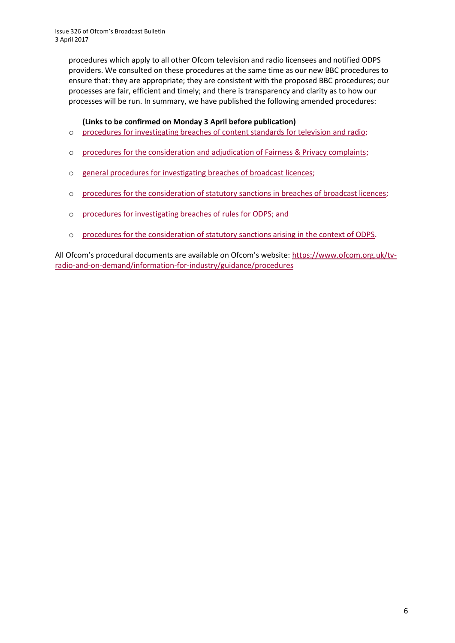procedures which apply to all other Ofcom television and radio licensees and notified ODPS providers. We consulted on these procedures at the same time as our new BBC procedures to ensure that: they are appropriate; they are consistent with the proposed BBC procedures; our processes are fair, efficient and timely; and there is transparency and clarity as to how our processes will be run. In summary, we have published the following amended procedures:

#### **(Links to be confirmed on Monday 3 April before publication)**

- o [procedures for investigating breaches of content standards for television](https://www.ofcom.org.uk/__data/assets/pdf_file/0020/55109/breaches-content-standards.pdf) and radio;
- o [procedures for the consideration and adjudication of Fairness & Privacy complaints;](https://www.ofcom.org.uk/__data/assets/pdf_file/0031/57388/fairness-privacy-complaints.pdf)
- o [general procedures for investigating breaches of broadcast licences;](https://www.ofcom.org.uk/__data/assets/pdf_file/0019/31942/general-procedures.pdf)
- o [procedures for the consideration of statutory sanctions in breaches of broadcast licences;](https://www.ofcom.org.uk/__data/assets/pdf_file/0030/71967/procedures_for_consideration.pdf)
- o [procedures for investigating breaches of rules for ODPS;](https://www.ofcom.org.uk/__data/assets/pdf_file/0033/74499/procedures-investigating-breaches.pdf) and
- o [procedures for the consideration of statutory sanctions arising in the context of ODPS.](https://www.ofcom.org.uk/__data/assets/pdf_file/0034/68794/revised_sanctions_procedures.pdf)

All Ofcom's procedural documents are available on Ofcom's website: [https://www.ofcom.org.uk/tv](https://www.ofcom.org.uk/tv-radio-and-on-demand/information-for-industry/guidance/procedures)[radio-and-on-demand/information-for-industry/guidance/procedures](https://www.ofcom.org.uk/tv-radio-and-on-demand/information-for-industry/guidance/procedures)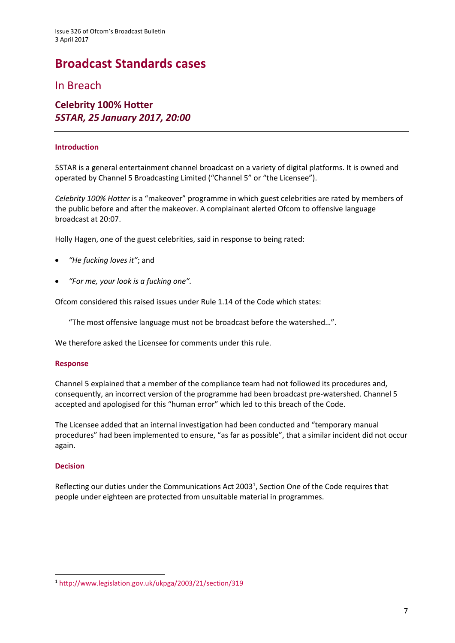# **Broadcast Standards cases**

In Breach

### **Celebrity 100% Hotter** *5STAR, 25 January 2017, 20:00*

#### **Introduction**

5STAR is a general entertainment channel broadcast on a variety of digital platforms. It is owned and operated by Channel 5 Broadcasting Limited ("Channel 5" or "the Licensee").

*Celebrity 100% Hotter* is a "makeover" programme in which guest celebrities are rated by members of the public before and after the makeover. A complainant alerted Ofcom to offensive language broadcast at 20:07.

Holly Hagen, one of the guest celebrities, said in response to being rated:

- *"He fucking loves it"*; and
- *"For me, your look is a fucking one".*

Ofcom considered this raised issues under Rule 1.14 of the Code which states:

"The most offensive language must not be broadcast before the watershed…".

We therefore asked the Licensee for comments under this rule.

#### **Response**

Channel 5 explained that a member of the compliance team had not followed its procedures and, consequently, an incorrect version of the programme had been broadcast pre-watershed. Channel 5 accepted and apologised for this "human error" which led to this breach of the Code.

The Licensee added that an internal investigation had been conducted and "temporary manual procedures" had been implemented to ensure, "as far as possible", that a similar incident did not occur again.

#### **Decision**

**.** 

Reflecting our duties under the Communications Act 2003<sup>1</sup>, Section One of the Code requires that people under eighteen are protected from unsuitable material in programmes.

<sup>1</sup> <http://www.legislation.gov.uk/ukpga/2003/21/section/319>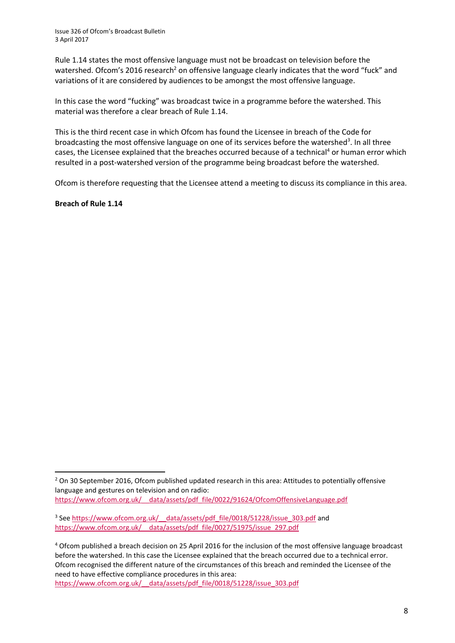Rule 1.14 states the most offensive language must not be broadcast on television before the watershed. Ofcom's 2016 research<sup>2</sup> on offensive language clearly indicates that the word "fuck" and variations of it are considered by audiences to be amongst the most offensive language.

In this case the word "fucking" was broadcast twice in a programme before the watershed. This material was therefore a clear breach of Rule 1.14.

This is the third recent case in which Ofcom has found the Licensee in breach of the Code for broadcasting the most offensive language on one of its services before the watershed<sup>3</sup>. In all three cases, the Licensee explained that the breaches occurred because of a technical<sup>4</sup> or human error which resulted in a post-watershed version of the programme being broadcast before the watershed.

Ofcom is therefore requesting that the Licensee attend a meeting to discuss its compliance in this area.

**Breach of Rule 1.14**

 $\overline{a}$ 

<sup>&</sup>lt;sup>2</sup> On 30 September 2016, Ofcom published updated research in this area: Attitudes to potentially offensive language and gestures on television and on radio: [https://www.ofcom.org.uk/\\_\\_data/assets/pdf\\_file/0022/91624/OfcomOffensiveLanguage.pdf](https://www.ofcom.org.uk/__data/assets/pdf_file/0022/91624/OfcomOffensiveLanguage.pdf)

<sup>&</sup>lt;sup>3</sup> See https://www.ofcom.org.uk/ data/assets/pdf file/0018/51228/issue 303.pdf and https://www.ofcom.org.uk/ data/assets/pdf file/0027/51975/issue\_297.pdf

<sup>4</sup> Ofcom published a breach decision on 25 April 2016 for the inclusion of the most offensive language broadcast before the watershed. In this case the Licensee explained that the breach occurred due to a technical error. Ofcom recognised the different nature of the circumstances of this breach and reminded the Licensee of the need to have effective compliance procedures in this area: [https://www.ofcom.org.uk/\\_\\_data/assets/pdf\\_file/0018/51228/issue\\_303.pdf](https://www.ofcom.org.uk/__data/assets/pdf_file/0018/51228/issue_303.pdf)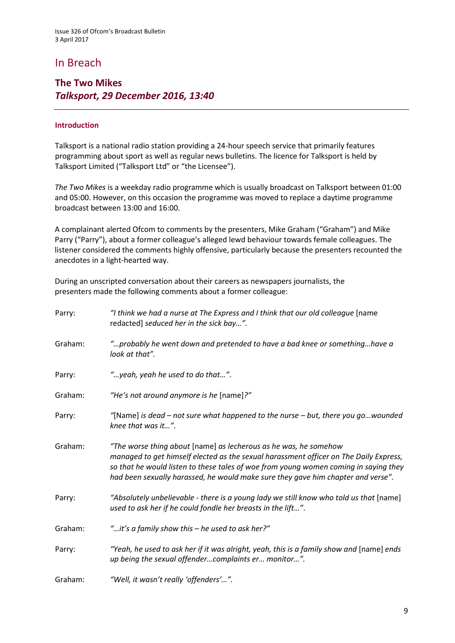# In Breach

### **The Two Mikes**  *Talksport, 29 December 2016, 13:40*

#### **Introduction**

Talksport is a national radio station providing a 24-hour speech service that primarily features programming about sport as well as regular news bulletins. The licence for Talksport is held by Talksport Limited ("Talksport Ltd" or "the Licensee").

*The Two Mikes* is a weekday radio programme which is usually broadcast on Talksport between 01:00 and 05:00. However, on this occasion the programme was moved to replace a daytime programme broadcast between 13:00 and 16:00.

A complainant alerted Ofcom to comments by the presenters, Mike Graham ("Graham") and Mike Parry ("Parry"), about a former colleague's alleged lewd behaviour towards female colleagues. The listener considered the comments highly offensive, particularly because the presenters recounted the anecdotes in a light-hearted way.

During an unscripted conversation about their careers as newspapers journalists, the presenters made the following comments about a former colleague:

| Parry:  | "I think we had a nurse at The Express and I think that our old colleague [name<br>redacted] seduced her in the sick bay".                                                                                                                                                                                                            |
|---------|---------------------------------------------------------------------------------------------------------------------------------------------------------------------------------------------------------------------------------------------------------------------------------------------------------------------------------------|
| Graham: | "probably he went down and pretended to have a bad knee or somethinghave a<br>look at that".                                                                                                                                                                                                                                          |
| Parry:  | " yeah, yeah he used to do that".                                                                                                                                                                                                                                                                                                     |
| Graham: | "He's not around anymore is he [name]?"                                                                                                                                                                                                                                                                                               |
| Parry:  | "[Name] is dead – not sure what happened to the nurse – but, there you gowounded<br>knee that was it".                                                                                                                                                                                                                                |
| Graham: | "The worse thing about [name] as lecherous as he was, he somehow<br>managed to get himself elected as the sexual harassment officer on The Daily Express,<br>so that he would listen to these tales of woe from young women coming in saying they<br>had been sexually harassed, he would make sure they gave him chapter and verse". |
| Parry:  | "Absolutely unbelievable - there is a young lady we still know who told us that [name]<br>used to ask her if he could fondle her breasts in the lift".                                                                                                                                                                                |
| Graham: | "it's a family show this - he used to ask her?"                                                                                                                                                                                                                                                                                       |
| Parry:  | "Yeah, he used to ask her if it was alright, yeah, this is a family show and [name] ends<br>up being the sexual offendercomplaints er monitor".                                                                                                                                                                                       |
| Graham: | "Well, it wasn't really 'offenders'".                                                                                                                                                                                                                                                                                                 |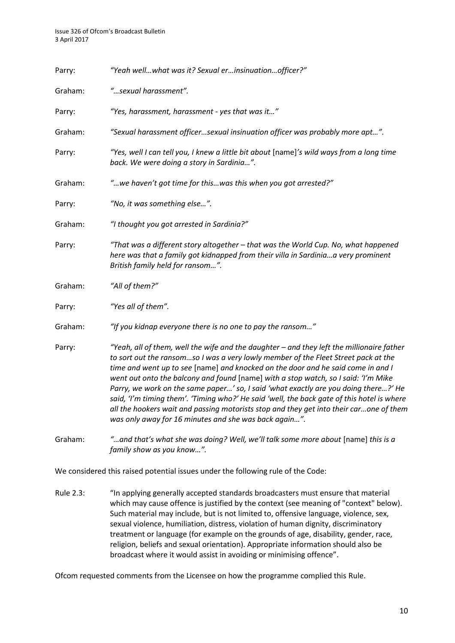| Parry:  | "Yeah wellwhat was it? Sexual erinsinuationofficer?"                                                                                                                                                                                                                                                                                                                                                                                                                                                                                                                                                                                                                                              |
|---------|---------------------------------------------------------------------------------------------------------------------------------------------------------------------------------------------------------------------------------------------------------------------------------------------------------------------------------------------------------------------------------------------------------------------------------------------------------------------------------------------------------------------------------------------------------------------------------------------------------------------------------------------------------------------------------------------------|
| Graham: | "sexual harassment".                                                                                                                                                                                                                                                                                                                                                                                                                                                                                                                                                                                                                                                                              |
| Parry:  | "Yes, harassment, harassment - yes that was it"                                                                                                                                                                                                                                                                                                                                                                                                                                                                                                                                                                                                                                                   |
| Graham: | "Sexual harassment officersexual insinuation officer was probably more apt".                                                                                                                                                                                                                                                                                                                                                                                                                                                                                                                                                                                                                      |
| Parry:  | "Yes, well I can tell you, I knew a little bit about [name]'s wild ways from a long time<br>back. We were doing a story in Sardinia".                                                                                                                                                                                                                                                                                                                                                                                                                                                                                                                                                             |
| Graham: | " we haven't got time for this was this when you got arrested?"                                                                                                                                                                                                                                                                                                                                                                                                                                                                                                                                                                                                                                   |
| Parry:  | "No, it was something else".                                                                                                                                                                                                                                                                                                                                                                                                                                                                                                                                                                                                                                                                      |
| Graham: | "I thought you got arrested in Sardinia?"                                                                                                                                                                                                                                                                                                                                                                                                                                                                                                                                                                                                                                                         |
| Parry:  | "That was a different story altogether - that was the World Cup. No, what happened<br>here was that a family got kidnapped from their villa in Sardiniaa very prominent<br>British family held for ransom".                                                                                                                                                                                                                                                                                                                                                                                                                                                                                       |
| Graham: | "All of them?"                                                                                                                                                                                                                                                                                                                                                                                                                                                                                                                                                                                                                                                                                    |
| Parry:  | "Yes all of them".                                                                                                                                                                                                                                                                                                                                                                                                                                                                                                                                                                                                                                                                                |
| Graham: | "If you kidnap everyone there is no one to pay the ransom"                                                                                                                                                                                                                                                                                                                                                                                                                                                                                                                                                                                                                                        |
| Parry:  | "Yeah, all of them, well the wife and the daughter - and they left the millionaire father<br>to sort out the ransomso I was a very lowly member of the Fleet Street pack at the<br>time and went up to see [name] and knocked on the door and he said come in and I<br>went out onto the balcony and found [name] with a stop watch, so I said: 'I'm Mike<br>Parry, we work on the same paper' so, I said 'what exactly are you doing there?' He<br>said, 'I'm timing them'. 'Timing who?' He said 'well, the back gate of this hotel is where<br>all the hookers wait and passing motorists stop and they get into their carone of them<br>was only away for 16 minutes and she was back again". |
| Graham: | " and that's what she was doing? Well, we'll talk some more about [name] this is a<br>family show as you know".                                                                                                                                                                                                                                                                                                                                                                                                                                                                                                                                                                                   |

We considered this raised potential issues under the following rule of the Code:

Rule 2.3: "In applying generally accepted standards broadcasters must ensure that material which may cause offence is justified by the context (see meaning of "context" below). Such material may include, but is not limited to, offensive language, violence, sex, sexual violence, humiliation, distress, violation of human dignity, discriminatory treatment or language (for example on the grounds of age, disability, gender, race, religion, beliefs and sexual orientation). Appropriate information should also be broadcast where it would assist in avoiding or minimising offence".

Ofcom requested comments from the Licensee on how the programme complied this Rule.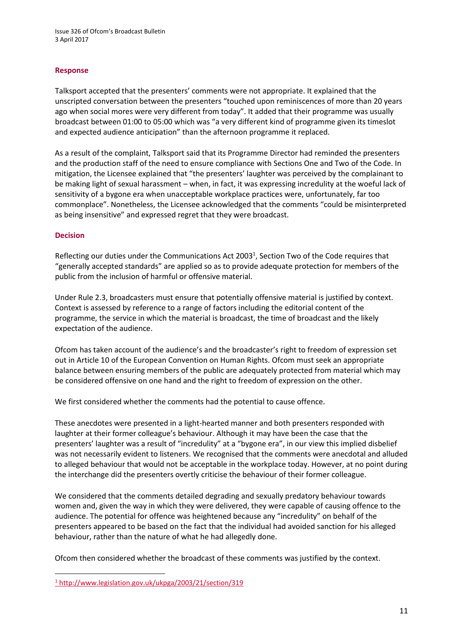#### **Response**

Talksport accepted that the presenters' comments were not appropriate. It explained that the unscripted conversation between the presenters "touched upon reminiscences of more than 20 years ago when social mores were very different from today". It added that their programme was usually broadcast between 01:00 to 05:00 which was "a very different kind of programme given its timeslot and expected audience anticipation" than the afternoon programme it replaced.

As a result of the complaint, Talksport said that its Programme Director had reminded the presenters and the production staff of the need to ensure compliance with Sections One and Two of the Code. In mitigation, the Licensee explained that "the presenters' laughter was perceived by the complainant to be making light of sexual harassment – when, in fact, it was expressing incredulity at the woeful lack of sensitivity of a bygone era when unacceptable workplace practices were, unfortunately, far too commonplace". Nonetheless, the Licensee acknowledged that the comments "could be misinterpreted as being insensitive" and expressed regret that they were broadcast.

#### **Decision**

1

Reflecting our duties under the Communications Act 2003<sup>1</sup>, Section Two of the Code requires that "generally accepted standards" are applied so as to provide adequate protection for members of the public from the inclusion of harmful or offensive material.

Under Rule 2.3, broadcasters must ensure that potentially offensive material is justified by context. Context is assessed by reference to a range of factors including the editorial content of the programme, the service in which the material is broadcast, the time of broadcast and the likely expectation of the audience.

Ofcom has taken account of the audience's and the broadcaster's right to freedom of expression set out in Article 10 of the European Convention on Human Rights. Ofcom must seek an appropriate balance between ensuring members of the public are adequately protected from material which may be considered offensive on one hand and the right to freedom of expression on the other.

We first considered whether the comments had the potential to cause offence.

These anecdotes were presented in a light-hearted manner and both presenters responded with laughter at their former colleague's behaviour. Although it may have been the case that the presenters' laughter was a result of "incredulity" at a "bygone era", in our view this implied disbelief was not necessarily evident to listeners. We recognised that the comments were anecdotal and alluded to alleged behaviour that would not be acceptable in the workplace today. However, at no point during the interchange did the presenters overtly criticise the behaviour of their former colleague.

We considered that the comments detailed degrading and sexually predatory behaviour towards women and, given the way in which they were delivered, they were capable of causing offence to the audience. The potential for offence was heightened because any "incredulity" on behalf of the presenters appeared to be based on the fact that the individual had avoided sanction for his alleged behaviour, rather than the nature of what he had allegedly done.

Ofcom then considered whether the broadcast of these comments was justified by the context.

<sup>1</sup> <http://www.legislation.gov.uk/ukpga/2003/21/section/319>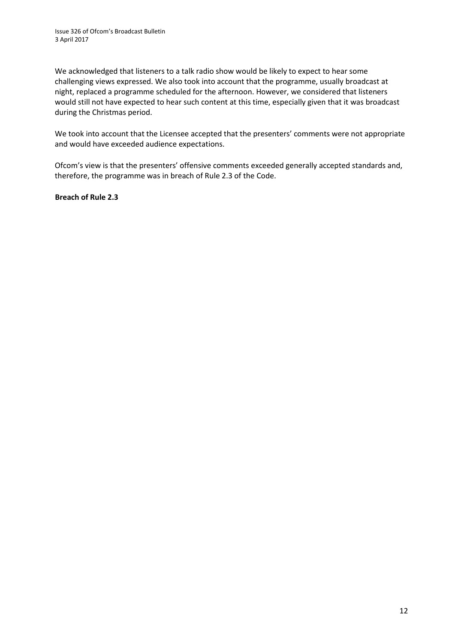We acknowledged that listeners to a talk radio show would be likely to expect to hear some challenging views expressed. We also took into account that the programme, usually broadcast at night, replaced a programme scheduled for the afternoon. However, we considered that listeners would still not have expected to hear such content at this time, especially given that it was broadcast during the Christmas period.

We took into account that the Licensee accepted that the presenters' comments were not appropriate and would have exceeded audience expectations.

Ofcom's view is that the presenters' offensive comments exceeded generally accepted standards and, therefore, the programme was in breach of Rule 2.3 of the Code.

**Breach of Rule 2.3**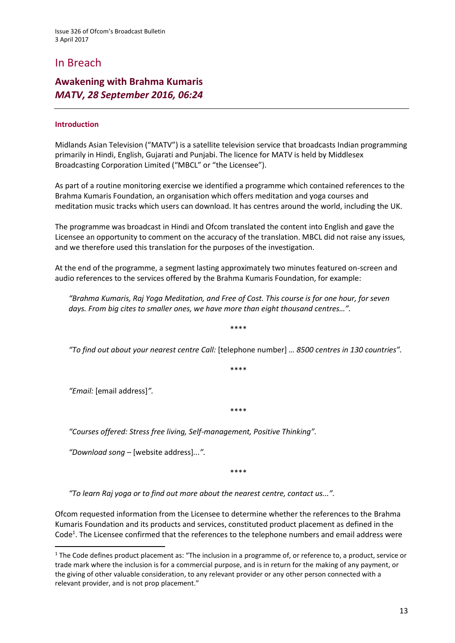# In Breach

### **Awakening with Brahma Kumaris** *MATV, 28 September 2016, 06:24*

#### **Introduction**

Midlands Asian Television ("MATV") is a satellite television service that broadcasts Indian programming primarily in Hindi, English, Gujarati and Punjabi. The licence for MATV is held by Middlesex Broadcasting Corporation Limited ("MBCL" or "the Licensee").

As part of a routine monitoring exercise we identified a programme which contained references to the Brahma Kumaris Foundation, an organisation which offers meditation and yoga courses and meditation music tracks which users can download. It has centres around the world, including the UK.

The programme was broadcast in Hindi and Ofcom translated the content into English and gave the Licensee an opportunity to comment on the accuracy of the translation. MBCL did not raise any issues, and we therefore used this translation for the purposes of the investigation.

At the end of the programme, a segment lasting approximately two minutes featured on-screen and audio references to the services offered by the Brahma Kumaris Foundation, for example:

*"Brahma Kumaris, Raj Yoga Meditation, and Free of Cost. This course is for one hour, for seven days. From big cites to smaller ones, we have more than eight thousand centres…".*

\*\*\*\*

*"To find out about your nearest centre Call:* [telephone number] *… 8500 centres in 130 countries".*

\*\*\*\*

*"Email:* [email address]*".*

**.** 

\*\*\*\*

*"Courses offered: Stress free living, Self-management, Positive Thinking".*

*"Download song –* [website address]*...".*

\*\*\*\*

*"To learn Raj yoga or to find out more about the nearest centre, contact us...".*

Ofcom requested information from the Licensee to determine whether the references to the Brahma Kumaris Foundation and its products and services, constituted product placement as defined in the Code<sup>1</sup>. The Licensee confirmed that the references to the telephone numbers and email address were

 $1$  The Code defines product placement as: "The inclusion in a programme of, or reference to, a product, service or trade mark where the inclusion is for a commercial purpose, and is in return for the making of any payment, or the giving of other valuable consideration, to any relevant provider or any other person connected with a relevant provider, and is not prop placement."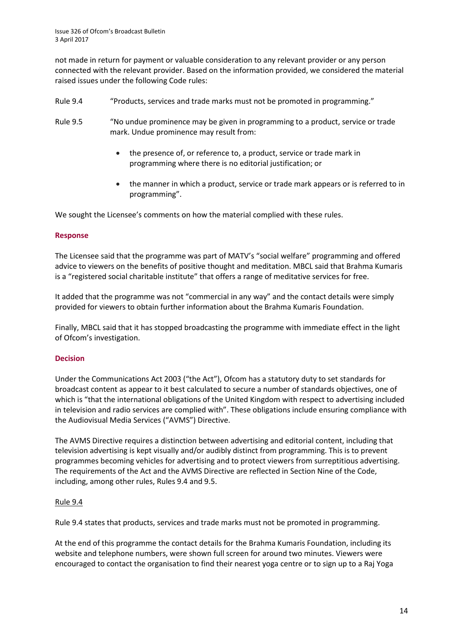not made in return for payment or valuable consideration to any relevant provider or any person connected with the relevant provider. Based on the information provided, we considered the material raised issues under the following Code rules:

- Rule 9.4 "Products, services and trade marks must not be promoted in programming."
- Rule 9.5 "No undue prominence may be given in programming to a product, service or trade mark. Undue prominence may result from:
	- the presence of, or reference to, a product, service or trade mark in programming where there is no editorial justification; or
	- the manner in which a product, service or trade mark appears or is referred to in programming".

We sought the Licensee's comments on how the material complied with these rules.

#### **Response**

The Licensee said that the programme was part of MATV's "social welfare" programming and offered advice to viewers on the benefits of positive thought and meditation. MBCL said that Brahma Kumaris is a "registered social charitable institute" that offers a range of meditative services for free.

It added that the programme was not "commercial in any way" and the contact details were simply provided for viewers to obtain further information about the Brahma Kumaris Foundation.

Finally, MBCL said that it has stopped broadcasting the programme with immediate effect in the light of Ofcom's investigation.

#### **Decision**

Under the Communications Act 2003 ("the Act"), Ofcom has a statutory duty to set standards for broadcast content as appear to it best calculated to secure a number of standards objectives, one of which is "that the international obligations of the United Kingdom with respect to advertising included in television and radio services are complied with". These obligations include ensuring compliance with the Audiovisual Media Services ("AVMS") Directive.

The AVMS Directive requires a distinction between advertising and editorial content, including that television advertising is kept visually and/or audibly distinct from programming. This is to prevent programmes becoming vehicles for advertising and to protect viewers from surreptitious advertising. The requirements of the Act and the AVMS Directive are reflected in Section Nine of the Code, including, among other rules, Rules 9.4 and 9.5.

#### Rule 9.4

Rule 9.4 states that products, services and trade marks must not be promoted in programming.

At the end of this programme the contact details for the Brahma Kumaris Foundation, including its website and telephone numbers, were shown full screen for around two minutes. Viewers were encouraged to contact the organisation to find their nearest yoga centre or to sign up to a Raj Yoga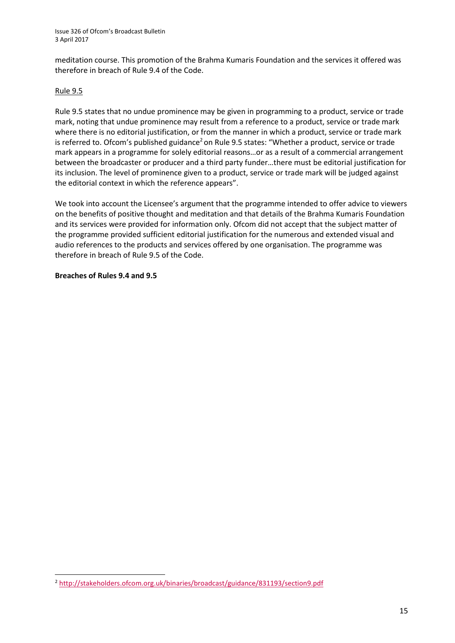meditation course. This promotion of the Brahma Kumaris Foundation and the services it offered was therefore in breach of Rule 9.4 of the Code.

#### Rule 9.5

Rule 9.5 states that no undue prominence may be given in programming to a product, service or trade mark, noting that undue prominence may result from a reference to a product, service or trade mark where there is no editorial justification, or from the manner in which a product, service or trade mark is referred to. Ofcom's published guidance<sup>2</sup> on Rule 9.5 states: "Whether a product, service or trade mark appears in a programme for solely editorial reasons…or as a result of a commercial arrangement between the broadcaster or producer and a third party funder…there must be editorial justification for its inclusion. The level of prominence given to a product, service or trade mark will be judged against the editorial context in which the reference appears".

We took into account the Licensee's argument that the programme intended to offer advice to viewers on the benefits of positive thought and meditation and that details of the Brahma Kumaris Foundation and its services were provided for information only. Ofcom did not accept that the subject matter of the programme provided sufficient editorial justification for the numerous and extended visual and audio references to the products and services offered by one organisation. The programme was therefore in breach of Rule 9.5 of the Code.

#### **Breaches of Rules 9.4 and 9.5**

**.** 

<sup>2</sup> <http://stakeholders.ofcom.org.uk/binaries/broadcast/guidance/831193/section9.pdf>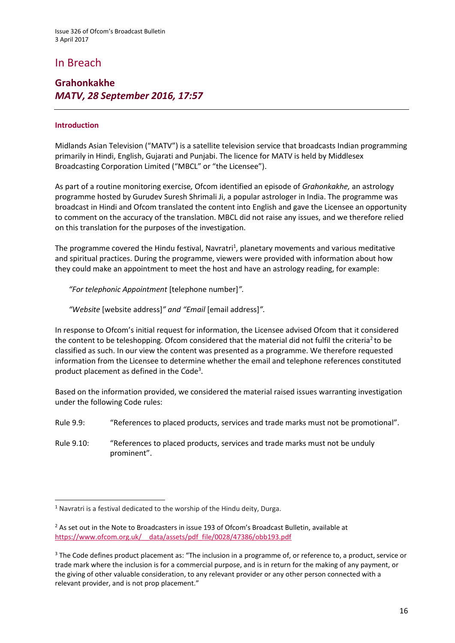# In Breach

### **Grahonkakhe** *MATV, 28 September 2016, 17:57*

#### **Introduction**

Midlands Asian Television ("MATV") is a satellite television service that broadcasts Indian programming primarily in Hindi, English, Gujarati and Punjabi. The licence for MATV is held by Middlesex Broadcasting Corporation Limited ("MBCL" or "the Licensee").

As part of a routine monitoring exercise*,* Ofcom identified an episode of *Grahonkakhe,* an astrology programme hosted by Gurudev Suresh Shrimali Ji, a popular astrologer in India. The programme was broadcast in Hindi and Ofcom translated the content into English and gave the Licensee an opportunity to comment on the accuracy of the translation. MBCL did not raise any issues, and we therefore relied on this translation for the purposes of the investigation.

The programme covered the Hindu festival, Navratri<sup>1</sup>, planetary movements and various meditative and spiritual practices. During the programme, viewers were provided with information about how they could make an appointment to meet the host and have an astrology reading, for example:

*"For telephonic Appointment* [telephone number]*".*

*"Website* [website address]*" and "Email* [email address]*".*

In response to Ofcom's initial request for information, the Licensee advised Ofcom that it considered the content to be teleshopping. Ofcom considered that the material did not fulfil the criteria<sup>2</sup> to be classified as such. In our view the content was presented as a programme. We therefore requested information from the Licensee to determine whether the email and telephone references constituted product placement as defined in the Code<sup>3</sup>.

Based on the information provided, we considered the material raised issues warranting investigation under the following Code rules:

Rule 9.9: "References to placed products, services and trade marks must not be promotional".

Rule 9.10: "References to placed products, services and trade marks must not be unduly prominent".

<sup>1</sup> Navratri is a festival dedicated to the worship of the Hindu deity, Durga.

 $<sup>2</sup>$  As set out in the Note to Broadcasters in issue 193 of Ofcom's Broadcast Bulletin, available at</sup> [https://www.ofcom.org.uk/\\_\\_data/assets/pdf\\_file/0028/47386/obb193.pdf](https://www.ofcom.org.uk/__data/assets/pdf_file/0028/47386/obb193.pdf)

<sup>&</sup>lt;sup>3</sup> The Code defines product placement as: "The inclusion in a programme of, or reference to, a product, service or trade mark where the inclusion is for a commercial purpose, and is in return for the making of any payment, or the giving of other valuable consideration, to any relevant provider or any other person connected with a relevant provider, and is not prop placement."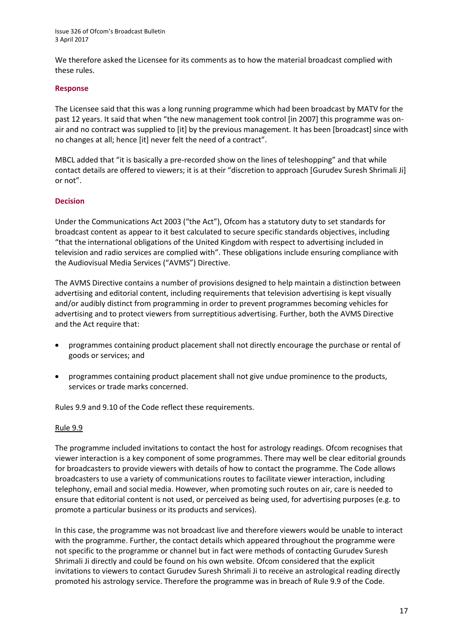We therefore asked the Licensee for its comments as to how the material broadcast complied with these rules.

#### **Response**

The Licensee said that this was a long running programme which had been broadcast by MATV for the past 12 years. It said that when "the new management took control [in 2007] this programme was onair and no contract was supplied to [it] by the previous management. It has been [broadcast] since with no changes at all; hence [it] never felt the need of a contract".

MBCL added that "it is basically a pre-recorded show on the lines of teleshopping" and that while contact details are offered to viewers; it is at their "discretion to approach [Gurudev Suresh Shrimali Ji] or not".

#### **Decision**

Under the Communications Act 2003 ("the Act"), Ofcom has a statutory duty to set standards for broadcast content as appear to it best calculated to secure specific standards objectives, including "that the international obligations of the United Kingdom with respect to advertising included in television and radio services are complied with". These obligations include ensuring compliance with the Audiovisual Media Services ("AVMS") Directive.

The AVMS Directive contains a number of provisions designed to help maintain a distinction between advertising and editorial content, including requirements that television advertising is kept visually and/or audibly distinct from programming in order to prevent programmes becoming vehicles for advertising and to protect viewers from surreptitious advertising. Further, both the AVMS Directive and the Act require that:

- programmes containing product placement shall not directly encourage the purchase or rental of goods or services; and
- programmes containing product placement shall not give undue prominence to the products, services or trade marks concerned.

Rules 9.9 and 9.10 of the Code reflect these requirements.

#### Rule 9.9

The programme included invitations to contact the host for astrology readings. Ofcom recognises that viewer interaction is a key component of some programmes. There may well be clear editorial grounds for broadcasters to provide viewers with details of how to contact the programme. The Code allows broadcasters to use a variety of communications routes to facilitate viewer interaction, including telephony, email and social media. However, when promoting such routes on air, care is needed to ensure that editorial content is not used, or perceived as being used, for advertising purposes (e.g. to promote a particular business or its products and services).

In this case, the programme was not broadcast live and therefore viewers would be unable to interact with the programme. Further, the contact details which appeared throughout the programme were not specific to the programme or channel but in fact were methods of contacting Gurudev Suresh Shrimali Ji directly and could be found on his own website. Ofcom considered that the explicit invitations to viewers to contact Gurudev Suresh Shrimali Ji to receive an astrological reading directly promoted his astrology service. Therefore the programme was in breach of Rule 9.9 of the Code.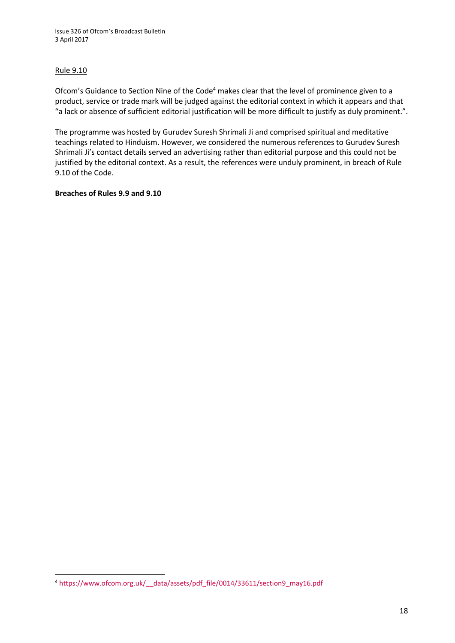#### Rule 9.10

Ofcom's Guidance to Section Nine of the Code<sup>4</sup> makes clear that the level of prominence given to a product, service or trade mark will be judged against the editorial context in which it appears and that "a lack or absence of sufficient editorial justification will be more difficult to justify as duly prominent.".

The programme was hosted by Gurudev Suresh Shrimali Ji and comprised spiritual and meditative teachings related to Hinduism. However, we considered the numerous references to Gurudev Suresh Shrimali Ji's contact details served an advertising rather than editorial purpose and this could not be justified by the editorial context. As a result, the references were unduly prominent, in breach of Rule 9.10 of the Code.

#### **Breaches of Rules 9.9 and 9.10**

**<sup>.</sup>** <sup>4</sup> [https://www.ofcom.org.uk/\\_\\_data/assets/pdf\\_file/0014/33611/section9\\_may16.pdf](https://www.ofcom.org.uk/__data/assets/pdf_file/0014/33611/section9_may16.pdf)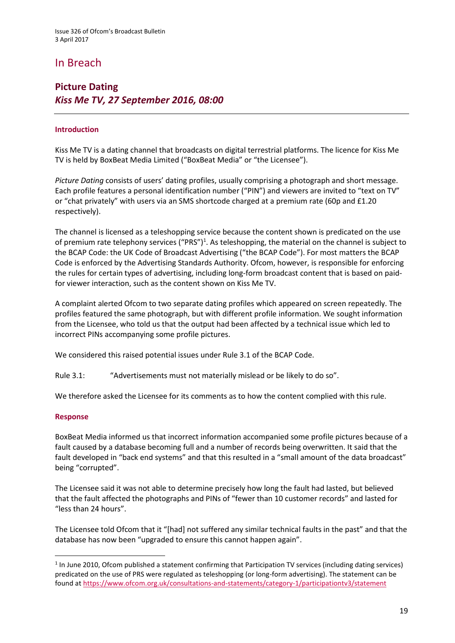# In Breach

### **Picture Dating** *Kiss Me TV, 27 September 2016, 08:00*

#### **Introduction**

Kiss Me TV is a dating channel that broadcasts on digital terrestrial platforms. The licence for Kiss Me TV is held by BoxBeat Media Limited ("BoxBeat Media" or "the Licensee").

*Picture Dating* consists of users' dating profiles, usually comprising a photograph and short message. Each profile features a personal identification number ("PIN") and viewers are invited to "text on TV" or "chat privately" with users via an SMS shortcode charged at a premium rate (60p and £1.20 respectively).

The channel is licensed as a teleshopping service because the content shown is predicated on the use of premium rate telephony services ("PRS")<sup>1</sup>. As teleshopping, the material on the channel is subject to the BCAP Code: the UK Code of Broadcast Advertising ("the BCAP Code"). For most matters the BCAP Code is enforced by the Advertising Standards Authority. Ofcom, however, is responsible for enforcing the rules for certain types of advertising, including long-form broadcast content that is based on paidfor viewer interaction, such as the content shown on Kiss Me TV.

A complaint alerted Ofcom to two separate dating profiles which appeared on screen repeatedly. The profiles featured the same photograph, but with different profile information. We sought information from the Licensee, who told us that the output had been affected by a technical issue which led to incorrect PINs accompanying some profile pictures.

We considered this raised potential issues under Rule 3.1 of the BCAP Code.

Rule 3.1: "Advertisements must not materially mislead or be likely to do so".

We therefore asked the Licensee for its comments as to how the content complied with this rule.

#### **Response**

**.** 

BoxBeat Media informed us that incorrect information accompanied some profile pictures because of a fault caused by a database becoming full and a number of records being overwritten. It said that the fault developed in "back end systems" and that this resulted in a "small amount of the data broadcast" being "corrupted".

The Licensee said it was not able to determine precisely how long the fault had lasted, but believed that the fault affected the photographs and PINs of "fewer than 10 customer records" and lasted for "less than 24 hours".

The Licensee told Ofcom that it "[had] not suffered any similar technical faults in the past" and that the database has now been "upgraded to ensure this cannot happen again".

 $1$  In June 2010, Ofcom published a statement confirming that Participation TV services (including dating services) predicated on the use of PRS were regulated as teleshopping (or long-form advertising). The statement can be found a[t https://www.ofcom.org.uk/consultations-and-statements/category-1/participationtv3/statement](https://www.ofcom.org.uk/consultations-and-statements/category-1/participationtv3/statement)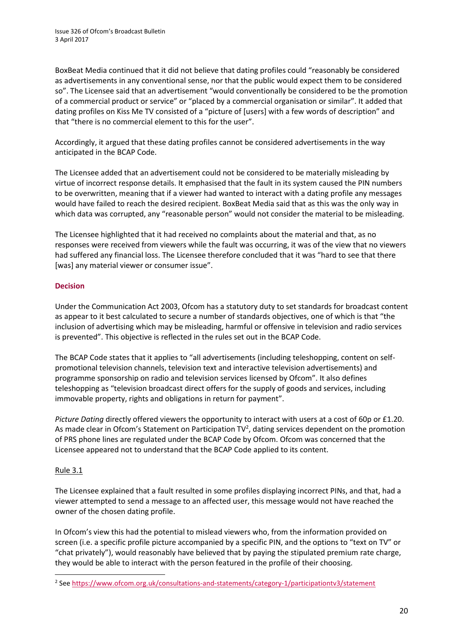BoxBeat Media continued that it did not believe that dating profiles could "reasonably be considered as advertisements in any conventional sense, nor that the public would expect them to be considered so". The Licensee said that an advertisement "would conventionally be considered to be the promotion of a commercial product or service" or "placed by a commercial organisation or similar". It added that dating profiles on Kiss Me TV consisted of a "picture of [users] with a few words of description" and that "there is no commercial element to this for the user".

Accordingly, it argued that these dating profiles cannot be considered advertisements in the way anticipated in the BCAP Code.

The Licensee added that an advertisement could not be considered to be materially misleading by virtue of incorrect response details. It emphasised that the fault in its system caused the PIN numbers to be overwritten, meaning that if a viewer had wanted to interact with a dating profile any messages would have failed to reach the desired recipient. BoxBeat Media said that as this was the only way in which data was corrupted, any "reasonable person" would not consider the material to be misleading.

The Licensee highlighted that it had received no complaints about the material and that, as no responses were received from viewers while the fault was occurring, it was of the view that no viewers had suffered any financial loss. The Licensee therefore concluded that it was "hard to see that there [was] any material viewer or consumer issue".

#### **Decision**

Under the Communication Act 2003, Ofcom has a statutory duty to set standards for broadcast content as appear to it best calculated to secure a number of standards objectives, one of which is that "the inclusion of advertising which may be misleading, harmful or offensive in television and radio services is prevented". This objective is reflected in the rules set out in the BCAP Code.

The BCAP Code states that it applies to "all advertisements (including teleshopping, content on selfpromotional television channels, television text and interactive television advertisements) and programme sponsorship on radio and television services licensed by Ofcom". It also defines teleshopping as "television broadcast direct offers for the supply of goods and services, including immovable property, rights and obligations in return for payment".

*Picture Dating* directly offered viewers the opportunity to interact with users at a cost of 60p or £1.20. As made clear in Ofcom's Statement on Participation  $TV^2$ , dating services dependent on the promotion of PRS phone lines are regulated under the BCAP Code by Ofcom. Ofcom was concerned that the Licensee appeared not to understand that the BCAP Code applied to its content.

#### Rule 3.1

**.** 

The Licensee explained that a fault resulted in some profiles displaying incorrect PINs, and that, had a viewer attempted to send a message to an affected user, this message would not have reached the owner of the chosen dating profile.

In Ofcom's view this had the potential to mislead viewers who, from the information provided on screen (i.e. a specific profile picture accompanied by a specific PIN, and the options to "text on TV" or "chat privately"), would reasonably have believed that by paying the stipulated premium rate charge, they would be able to interact with the person featured in the profile of their choosing.

<sup>&</sup>lt;sup>2</sup> See<https://www.ofcom.org.uk/consultations-and-statements/category-1/participationtv3/statement>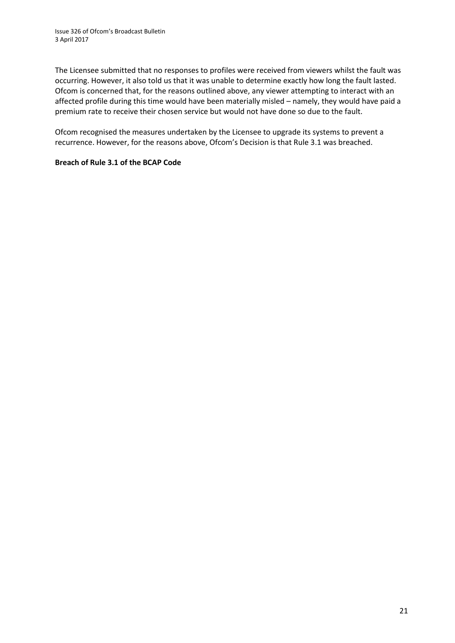The Licensee submitted that no responses to profiles were received from viewers whilst the fault was occurring. However, it also told us that it was unable to determine exactly how long the fault lasted. Ofcom is concerned that, for the reasons outlined above, any viewer attempting to interact with an affected profile during this time would have been materially misled – namely, they would have paid a premium rate to receive their chosen service but would not have done so due to the fault.

Ofcom recognised the measures undertaken by the Licensee to upgrade its systems to prevent a recurrence. However, for the reasons above, Ofcom's Decision is that Rule 3.1 was breached.

#### **Breach of Rule 3.1 of the BCAP Code**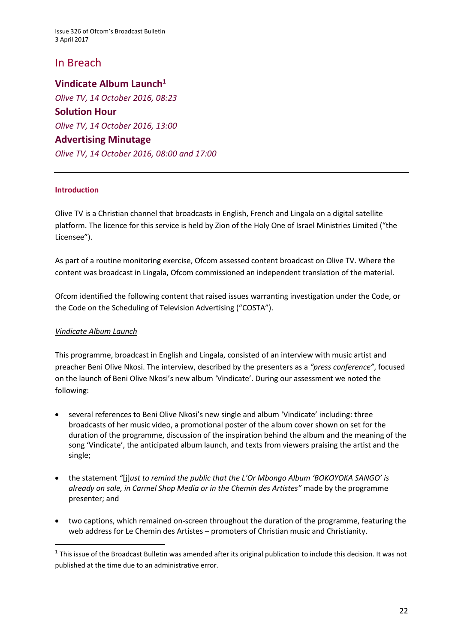# In Breach

### **Vindicate Album Launch<sup>1</sup>**

*Olive TV, 14 October 2016, 08:23* **Solution Hour**  *Olive TV, 14 October 2016, 13:00* **Advertising Minutage** *Olive TV, 14 October 2016, 08:00 and 17:00*

#### **Introduction**

Olive TV is a Christian channel that broadcasts in English, French and Lingala on a digital satellite platform. The licence for this service is held by Zion of the Holy One of Israel Ministries Limited ("the Licensee").

As part of a routine monitoring exercise, Ofcom assessed content broadcast on Olive TV. Where the content was broadcast in Lingala, Ofcom commissioned an independent translation of the material.

Ofcom identified the following content that raised issues warranting investigation under the Code, or the Code on the Scheduling of Television Advertising ("COSTA").

#### *Vindicate Album Launch*

1

This programme, broadcast in English and Lingala, consisted of an interview with music artist and preacher Beni Olive Nkosi. The interview, described by the presenters as a *"press conference"*, focused on the launch of Beni Olive Nkosi's new album 'Vindicate'. During our assessment we noted the following:

- several references to Beni Olive Nkosi's new single and album 'Vindicate' including: three broadcasts of her music video, a promotional poster of the album cover shown on set for the duration of the programme, discussion of the inspiration behind the album and the meaning of the song 'Vindicate', the anticipated album launch, and texts from viewers praising the artist and the single;
- the statement *"*[j]*ust to remind the public that the L'Or Mbongo Album 'BOKOYOKA SANGO' is already on sale, in Carmel Shop Media or in the Chemin des Artistes"* made by the programme presenter; and
- two captions, which remained on-screen throughout the duration of the programme, featuring the web address for Le Chemin des Artistes – promoters of Christian music and Christianity.

 $1$  This issue of the Broadcast Bulletin was amended after its original publication to include this decision. It was not published at the time due to an administrative error.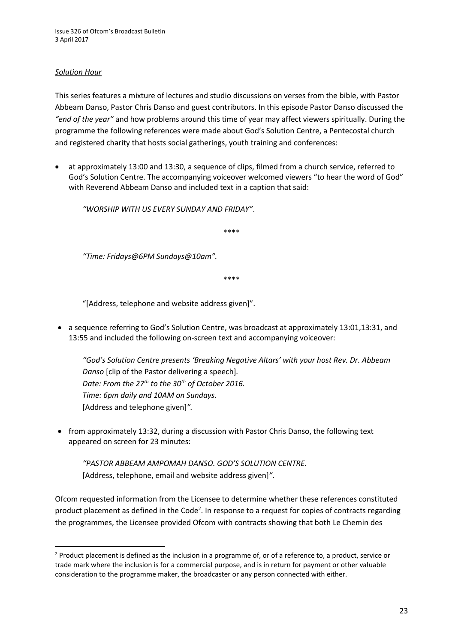#### *Solution Hour*

**.** 

This series features a mixture of lectures and studio discussions on verses from the bible, with Pastor Abbeam Danso, Pastor Chris Danso and guest contributors. In this episode Pastor Danso discussed the *"end of the year"* and how problems around this time of year may affect viewers spiritually. During the programme the following references were made about God's Solution Centre, a Pentecostal church and registered charity that hosts social gatherings, youth training and conferences:

 at approximately 13:00 and 13:30, a sequence of clips, filmed from a church service, referred to God's Solution Centre. The accompanying voiceover welcomed viewers "to hear the word of God" with Reverend Abbeam Danso and included text in a caption that said:

*"WORSHIP WITH US EVERY SUNDAY AND FRIDAY"*.

\*\*\*\*

*"Time: Fridays@6PM Sundays@10am".*

\*\*\*\*

"[Address, telephone and website address given]".

• a sequence referring to God's Solution Centre, was broadcast at approximately 13:01,13:31, and 13:55 and included the following on-screen text and accompanying voiceover:

*"God's Solution Centre presents 'Breaking Negative Altars' with your host Rev. Dr. Abbeam Danso* [clip of the Pastor delivering a speech]*. Date: From the 27th to the 30th of October 2016. Time: 6pm daily and 10AM on Sundays.* [Address and telephone given]*".*

• from approximately 13:32, during a discussion with Pastor Chris Danso, the following text appeared on screen for 23 minutes:

*"PASTOR ABBEAM AMPOMAH DANSO. GOD'S SOLUTION CENTRE.* [Address, telephone, email and website address given]*"*.

Ofcom requested information from the Licensee to determine whether these references constituted product placement as defined in the Code<sup>2</sup>. In response to a request for copies of contracts regarding the programmes, the Licensee provided Ofcom with contracts showing that both Le Chemin des

<sup>&</sup>lt;sup>2</sup> Product placement is defined as the inclusion in a programme of, or of a reference to, a product, service or trade mark where the inclusion is for a commercial purpose, and is in return for payment or other valuable consideration to the programme maker, the broadcaster or any person connected with either.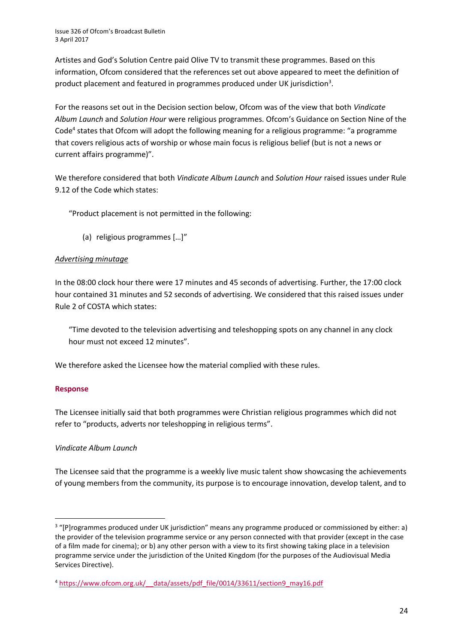Artistes and God's Solution Centre paid Olive TV to transmit these programmes. Based on this information, Ofcom considered that the references set out above appeared to meet the definition of product placement and featured in programmes produced under UK jurisdiction<sup>3</sup>.

For the reasons set out in the Decision section below, Ofcom was of the view that both *Vindicate Album Launch* and *Solution Hour* were religious programmes. Ofcom's Guidance on Section Nine of the Code<sup>4</sup> states that Ofcom will adopt the following meaning for a religious programme: "a programme that covers religious acts of worship or whose main focus is religious belief (but is not a news or current affairs programme)".

We therefore considered that both *Vindicate Album Launch* and *Solution Hour* raised issues under Rule 9.12 of the Code which states:

"Product placement is not permitted in the following:

(a) religious programmes […]"

#### *Advertising minutage*

In the 08:00 clock hour there were 17 minutes and 45 seconds of advertising. Further, the 17:00 clock hour contained 31 minutes and 52 seconds of advertising. We considered that this raised issues under Rule 2 of COSTA which states:

"Time devoted to the television advertising and teleshopping spots on any channel in any clock hour must not exceed 12 minutes".

We therefore asked the Licensee how the material complied with these rules.

#### **Response**

 $\overline{a}$ 

The Licensee initially said that both programmes were Christian religious programmes which did not refer to "products, adverts nor teleshopping in religious terms".

#### *Vindicate Album Launch*

The Licensee said that the programme is a weekly live music talent show showcasing the achievements of young members from the community, its purpose is to encourage innovation, develop talent, and to

<sup>&</sup>lt;sup>3</sup> "[P]rogrammes produced under UK jurisdiction" means any programme produced or commissioned by either: a) the provider of the television programme service or any person connected with that provider (except in the case of a film made for cinema); or b) any other person with a view to its first showing taking place in a television programme service under the jurisdiction of the United Kingdom (for the purposes of the Audiovisual Media Services Directive).

<sup>4</sup> [https://www.ofcom.org.uk/\\_\\_data/assets/pdf\\_file/0014/33611/section9\\_may16.pdf](https://www.ofcom.org.uk/__data/assets/pdf_file/0014/33611/section9_may16.pdf)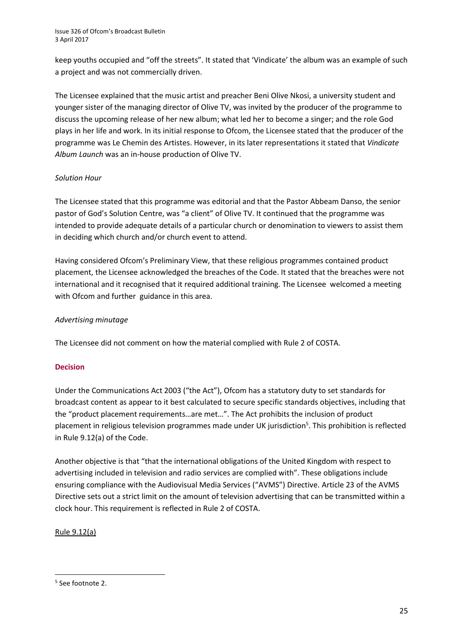keep youths occupied and "off the streets". It stated that 'Vindicate' the album was an example of such a project and was not commercially driven.

The Licensee explained that the music artist and preacher Beni Olive Nkosi, a university student and younger sister of the managing director of Olive TV, was invited by the producer of the programme to discuss the upcoming release of her new album; what led her to become a singer; and the role God plays in her life and work. In its initial response to Ofcom, the Licensee stated that the producer of the programme was Le Chemin des Artistes. However, in its later representations it stated that *Vindicate Album Launch* was an in-house production of Olive TV.

#### *Solution Hour*

The Licensee stated that this programme was editorial and that the Pastor Abbeam Danso, the senior pastor of God's Solution Centre, was "a client" of Olive TV. It continued that the programme was intended to provide adequate details of a particular church or denomination to viewers to assist them in deciding which church and/or church event to attend.

Having considered Ofcom's Preliminary View, that these religious programmes contained product placement, the Licensee acknowledged the breaches of the Code. It stated that the breaches were not international and it recognised that it required additional training. The Licensee welcomed a meeting with Ofcom and further guidance in this area.

#### *Advertising minutage*

The Licensee did not comment on how the material complied with Rule 2 of COSTA.

#### **Decision**

Under the Communications Act 2003 ("the Act"), Ofcom has a statutory duty to set standards for broadcast content as appear to it best calculated to secure specific standards objectives, including that the "product placement requirements…are met…". The Act prohibits the inclusion of product placement in religious television programmes made under UK jurisdiction<sup>5</sup>. This prohibition is reflected in Rule 9.12(a) of the Code.

Another objective is that "that the international obligations of the United Kingdom with respect to advertising included in television and radio services are complied with". These obligations include ensuring compliance with the Audiovisual Media Services ("AVMS") Directive. Article 23 of the AVMS Directive sets out a strict limit on the amount of television advertising that can be transmitted within a clock hour. This requirement is reflected in Rule 2 of COSTA.

Rule 9.12(a)

**<sup>.</sup>** 5 See footnote 2.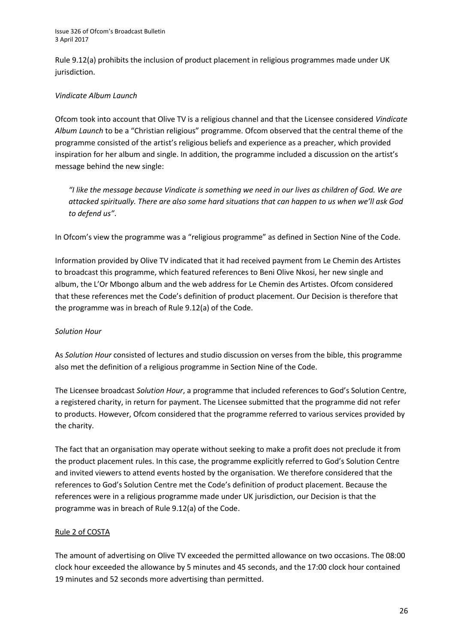Rule 9.12(a) prohibits the inclusion of product placement in religious programmes made under UK jurisdiction.

#### *Vindicate Album Launch*

Ofcom took into account that Olive TV is a religious channel and that the Licensee considered *Vindicate Album Launch* to be a "Christian religious" programme. Ofcom observed that the central theme of the programme consisted of the artist's religious beliefs and experience as a preacher, which provided inspiration for her album and single. In addition, the programme included a discussion on the artist's message behind the new single:

*"I like the message because Vindicate is something we need in our lives as children of God. We are attacked spiritually. There are also some hard situations that can happen to us when we'll ask God to defend us"*.

In Ofcom's view the programme was a "religious programme" as defined in Section Nine of the Code.

Information provided by Olive TV indicated that it had received payment from Le Chemin des Artistes to broadcast this programme, which featured references to Beni Olive Nkosi, her new single and album, the L'Or Mbongo album and the web address for Le Chemin des Artistes. Ofcom considered that these references met the Code's definition of product placement. Our Decision is therefore that the programme was in breach of Rule 9.12(a) of the Code.

#### *Solution Hour*

As *Solution Hour* consisted of lectures and studio discussion on verses from the bible, this programme also met the definition of a religious programme in Section Nine of the Code.

The Licensee broadcast *Solution Hour*, a programme that included references to God's Solution Centre, a registered charity, in return for payment. The Licensee submitted that the programme did not refer to products. However, Ofcom considered that the programme referred to various services provided by the charity.

The fact that an organisation may operate without seeking to make a profit does not preclude it from the product placement rules. In this case, the programme explicitly referred to God's Solution Centre and invited viewers to attend events hosted by the organisation. We therefore considered that the references to God's Solution Centre met the Code's definition of product placement. Because the references were in a religious programme made under UK jurisdiction, our Decision is that the programme was in breach of Rule 9.12(a) of the Code.

#### Rule 2 of COSTA

The amount of advertising on Olive TV exceeded the permitted allowance on two occasions. The 08:00 clock hour exceeded the allowance by 5 minutes and 45 seconds, and the 17:00 clock hour contained 19 minutes and 52 seconds more advertising than permitted.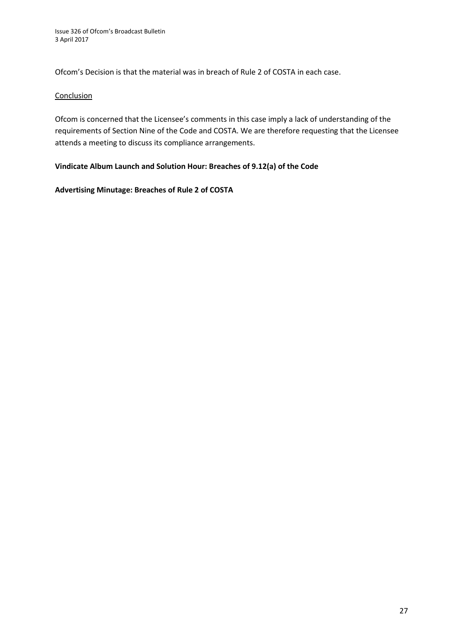Ofcom's Decision is that the material was in breach of Rule 2 of COSTA in each case.

#### **Conclusion**

Ofcom is concerned that the Licensee's comments in this case imply a lack of understanding of the requirements of Section Nine of the Code and COSTA. We are therefore requesting that the Licensee attends a meeting to discuss its compliance arrangements.

#### **Vindicate Album Launch and Solution Hour: Breaches of 9.12(a) of the Code**

#### **Advertising Minutage: Breaches of Rule 2 of COSTA**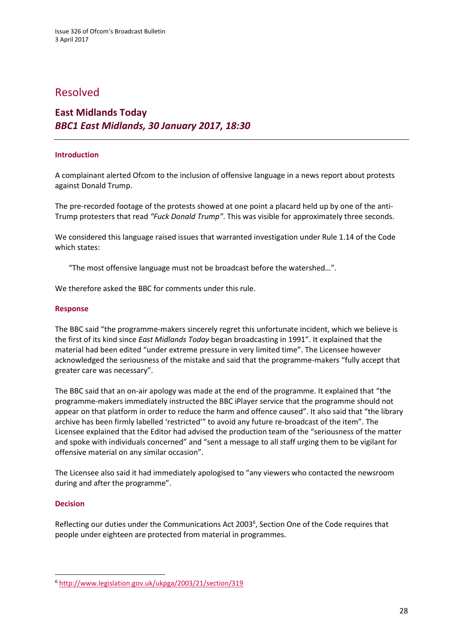### Resolved

### **East Midlands Today**  *BBC1 East Midlands, 30 January 2017, 18:30*

#### **Introduction**

A complainant alerted Ofcom to the inclusion of offensive language in a news report about protests against Donald Trump.

The pre-recorded footage of the protests showed at one point a placard held up by one of the anti-Trump protesters that read *"Fuck Donald Trump"*. This was visible for approximately three seconds.

We considered this language raised issues that warranted investigation under Rule 1.14 of the Code which states:

"The most offensive language must not be broadcast before the watershed…".

We therefore asked the BBC for comments under this rule.

#### **Response**

The BBC said "the programme-makers sincerely regret this unfortunate incident, which we believe is the first of its kind since *East Midlands Today* began broadcasting in 1991". It explained that the material had been edited "under extreme pressure in very limited time". The Licensee however acknowledged the seriousness of the mistake and said that the programme-makers "fully accept that greater care was necessary".

The BBC said that an on-air apology was made at the end of the programme. It explained that "the programme-makers immediately instructed the BBC iPlayer service that the programme should not appear on that platform in order to reduce the harm and offence caused". It also said that "the library archive has been firmly labelled 'restricted'" to avoid any future re-broadcast of the item". The Licensee explained that the Editor had advised the production team of the "seriousness of the matter and spoke with individuals concerned" and "sent a message to all staff urging them to be vigilant for offensive material on any similar occasion".

The Licensee also said it had immediately apologised to "any viewers who contacted the newsroom during and after the programme".

#### **Decision**

**.** 

Reflecting our duties under the Communications Act 2003<sup>6</sup>, Section One of the Code requires that people under eighteen are protected from material in programmes.

<sup>6</sup> <http://www.legislation.gov.uk/ukpga/2003/21/section/319>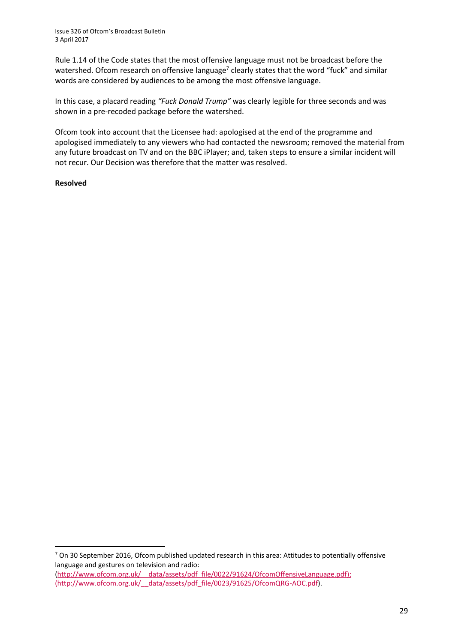Rule 1.14 of the Code states that the most offensive language must not be broadcast before the watershed. Ofcom research on offensive language<sup>7</sup> clearly states that the word "fuck" and similar words are considered by audiences to be among the most offensive language.

In this case, a placard reading *"Fuck Donald Trump"* was clearly legible for three seconds and was shown in a pre-recoded package before the watershed.

Ofcom took into account that the Licensee had: apologised at the end of the programme and apologised immediately to any viewers who had contacted the newsroom; removed the material from any future broadcast on TV and on the BBC iPlayer; and, taken steps to ensure a similar incident will not recur. Our Decision was therefore that the matter was resolved.

#### **Resolved**

**.** 

<sup>7</sup> On 30 September 2016, Ofcom published updated research in this area: Attitudes to potentially offensive language and gestures on television and radio: [\(http://www.ofcom.org.uk/\\_\\_data/assets/pdf\\_file/0022/91624/OfcomOffensiveLanguage.pdf\)](http://www.ofcom.org.uk/__data/assets/pdf_file/0022/91624/OfcomOffensiveLanguage.pdf); [\(http://www.ofcom.org.uk/\\_\\_data/assets/pdf\\_file/0023/91625/OfcomQRG-AOC.pdf\)](http://www.ofcom.org.uk/__data/assets/pdf_file/0023/91625/OfcomQRG-AOC.pdf).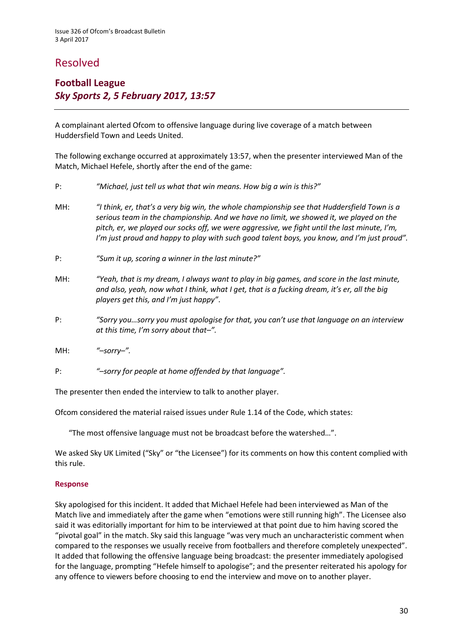# Resolved

# **Football League** *Sky Sports 2, 5 February 2017, 13:57*

A complainant alerted Ofcom to offensive language during live coverage of a match between Huddersfield Town and Leeds United.

The following exchange occurred at approximately 13:57, when the presenter interviewed Man of the Match, Michael Hefele, shortly after the end of the game:

- P: *"Michael, just tell us what that win means. How big a win is this?"*
- MH: *"I think, er, that's a very big win, the whole championship see that Huddersfield Town is a serious team in the championship. And we have no limit, we showed it, we played on the pitch, er, we played our socks off, we were aggressive, we fight until the last minute, I'm, I'm just proud and happy to play with such good talent boys, you know, and I'm just proud".*
- P: *"Sum it up, scoring a winner in the last minute?"*
- MH: *"Yeah, that is my dream, I always want to play in big games, and score in the last minute, and also, yeah, now what I think, what I get, that is a fucking dream, it's er, all the big players get this, and I'm just happy"*.
- P: *"Sorry you…sorry you must apologise for that, you can't use that language on an interview at this time, I'm sorry about that–".*
- MH: *"–sorry–".*
- P: *"–sorry for people at home offended by that language".*

The presenter then ended the interview to talk to another player.

Ofcom considered the material raised issues under Rule 1.14 of the Code, which states:

"The most offensive language must not be broadcast before the watershed…".

We asked Sky UK Limited ("Sky" or "the Licensee") for its comments on how this content complied with this rule.

#### **Response**

Sky apologised for this incident. It added that Michael Hefele had been interviewed as Man of the Match live and immediately after the game when "emotions were still running high". The Licensee also said it was editorially important for him to be interviewed at that point due to him having scored the "pivotal goal" in the match. Sky said this language "was very much an uncharacteristic comment when compared to the responses we usually receive from footballers and therefore completely unexpected". It added that following the offensive language being broadcast: the presenter immediately apologised for the language, prompting "Hefele himself to apologise"; and the presenter reiterated his apology for any offence to viewers before choosing to end the interview and move on to another player.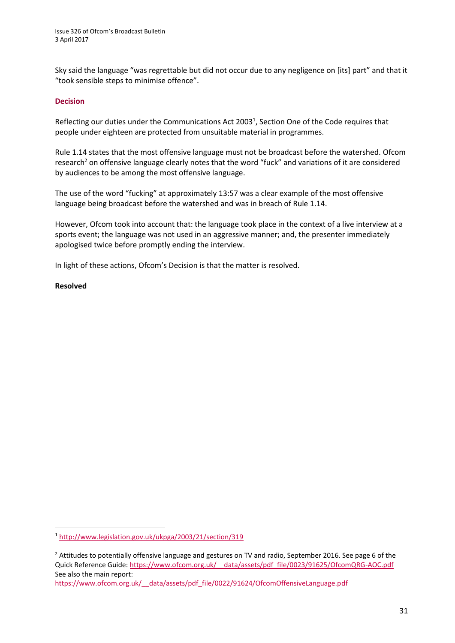Sky said the language "was regrettable but did not occur due to any negligence on [its] part" and that it "took sensible steps to minimise offence".

#### **Decision**

Reflecting our duties under the Communications Act 2003<sup>1</sup>, Section One of the Code requires that people under eighteen are protected from unsuitable material in programmes.

Rule 1.14 states that the most offensive language must not be broadcast before the watershed. Ofcom research<sup>2</sup> on offensive language clearly notes that the word "fuck" and variations of it are considered by audiences to be among the most offensive language.

The use of the word "fucking" at approximately 13:57 was a clear example of the most offensive language being broadcast before the watershed and was in breach of Rule 1.14.

However, Ofcom took into account that: the language took place in the context of a live interview at a sports event; the language was not used in an aggressive manner; and, the presenter immediately apologised twice before promptly ending the interview.

In light of these actions, Ofcom's Decision is that the matter is resolved.

#### **Resolved**

**.** 

[https://www.ofcom.org.uk/\\_\\_data/assets/pdf\\_file/0022/91624/OfcomOffensiveLanguage.pdf](https://www.ofcom.org.uk/__data/assets/pdf_file/0022/91624/OfcomOffensiveLanguage.pdf)

<sup>1</sup> <http://www.legislation.gov.uk/ukpga/2003/21/section/319>

<sup>&</sup>lt;sup>2</sup> Attitudes to potentially offensive language and gestures on TV and radio, September 2016. See page 6 of the Quick Reference Guide: [https://www.ofcom.org.uk/\\_\\_data/assets/pdf\\_file/0023/91625/OfcomQRG-AOC.pdf](https://www.ofcom.org.uk/__data/assets/pdf_file/0023/91625/OfcomQRG-AOC.pdf) See also the main report: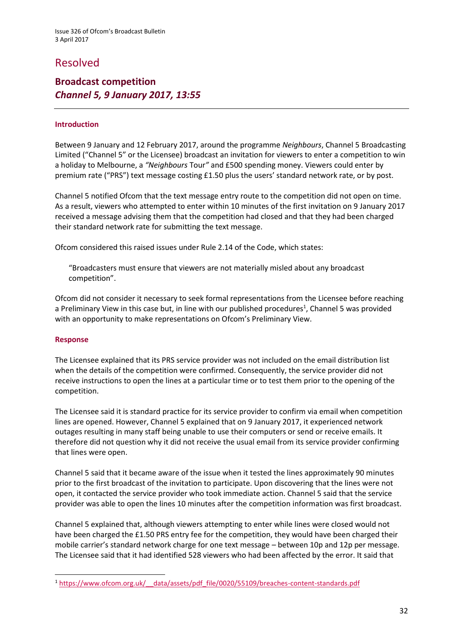# Resolved

### **Broadcast competition** *Channel 5, 9 January 2017, 13:55*

#### **Introduction**

Between 9 January and 12 February 2017, around the programme *Neighbours*, Channel 5 Broadcasting Limited ("Channel 5" or the Licensee) broadcast an invitation for viewers to enter a competition to win a holiday to Melbourne, a *"Neighbours* Tour*"* and £500 spending money. Viewers could enter by premium rate ("PRS") text message costing £1.50 plus the users' standard network rate, or by post.

Channel 5 notified Ofcom that the text message entry route to the competition did not open on time. As a result, viewers who attempted to enter within 10 minutes of the first invitation on 9 January 2017 received a message advising them that the competition had closed and that they had been charged their standard network rate for submitting the text message.

Ofcom considered this raised issues under Rule 2.14 of the Code, which states:

"Broadcasters must ensure that viewers are not materially misled about any broadcast competition".

Ofcom did not consider it necessary to seek formal representations from the Licensee before reaching a Preliminary View in this case but, in line with our published procedures<sup>1</sup>, Channel 5 was provided with an opportunity to make representations on Ofcom's Preliminary View.

#### **Response**

**.** 

The Licensee explained that its PRS service provider was not included on the email distribution list when the details of the competition were confirmed. Consequently, the service provider did not receive instructions to open the lines at a particular time or to test them prior to the opening of the competition.

The Licensee said it is standard practice for its service provider to confirm via email when competition lines are opened. However, Channel 5 explained that on 9 January 2017, it experienced network outages resulting in many staff being unable to use their computers or send or receive emails. It therefore did not question why it did not receive the usual email from its service provider confirming that lines were open.

Channel 5 said that it became aware of the issue when it tested the lines approximately 90 minutes prior to the first broadcast of the invitation to participate. Upon discovering that the lines were not open, it contacted the service provider who took immediate action. Channel 5 said that the service provider was able to open the lines 10 minutes after the competition information was first broadcast.

Channel 5 explained that, although viewers attempting to enter while lines were closed would not have been charged the £1.50 PRS entry fee for the competition, they would have been charged their mobile carrier's standard network charge for one text message – between 10p and 12p per message. The Licensee said that it had identified 528 viewers who had been affected by the error. It said that

<sup>1</sup> [https://www.ofcom.org.uk/\\_\\_data/assets/pdf\\_file/0020/55109/breaches-content-standards.pdf](https://www.ofcom.org.uk/__data/assets/pdf_file/0020/55109/breaches-content-standards.pdf)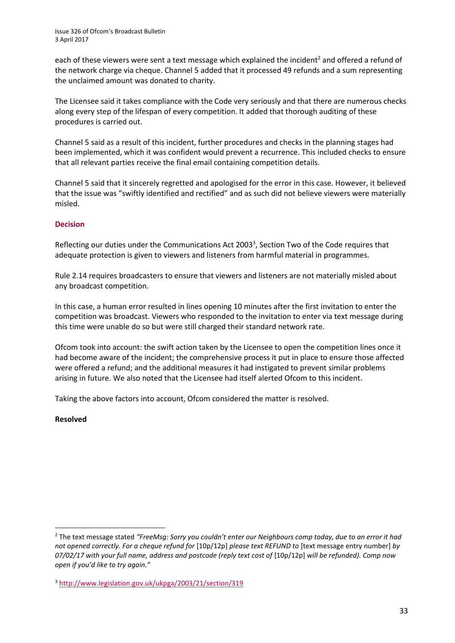each of these viewers were sent a text message which explained the incident<sup>2</sup> and offered a refund of the network charge via cheque. Channel 5 added that it processed 49 refunds and a sum representing the unclaimed amount was donated to charity.

The Licensee said it takes compliance with the Code very seriously and that there are numerous checks along every step of the lifespan of every competition. It added that thorough auditing of these procedures is carried out.

Channel 5 said as a result of this incident, further procedures and checks in the planning stages had been implemented, which it was confident would prevent a recurrence. This included checks to ensure that all relevant parties receive the final email containing competition details.

Channel 5 said that it sincerely regretted and apologised for the error in this case. However, it believed that the issue was "swiftly identified and rectified" and as such did not believe viewers were materially misled.

#### **Decision**

Reflecting our duties under the Communications Act 2003<sup>3</sup>, Section Two of the Code requires that adequate protection is given to viewers and listeners from harmful material in programmes.

Rule 2.14 requires broadcasters to ensure that viewers and listeners are not materially misled about any broadcast competition.

In this case, a human error resulted in lines opening 10 minutes after the first invitation to enter the competition was broadcast. Viewers who responded to the invitation to enter via text message during this time were unable do so but were still charged their standard network rate.

Ofcom took into account: the swift action taken by the Licensee to open the competition lines once it had become aware of the incident; the comprehensive process it put in place to ensure those affected were offered a refund; and the additional measures it had instigated to prevent similar problems arising in future. We also noted that the Licensee had itself alerted Ofcom to this incident.

Taking the above factors into account, Ofcom considered the matter is resolved.

#### **Resolved**

**<sup>.</sup>** <sup>2</sup> The text message stated *"FreeMsg: Sorry you couldn't enter our Neighbours comp today, due to an error it had not opened correctly. For a cheque refund for* [10p/12p] *please text REFUND to* [text message entry number] *by*  07/02/17 with your full name, address and postcode (reply text cost of [10p/12p] will be refunded). Comp now *open if you'd like to try again."*

<sup>3</sup> <http://www.legislation.gov.uk/ukpga/2003/21/section/319>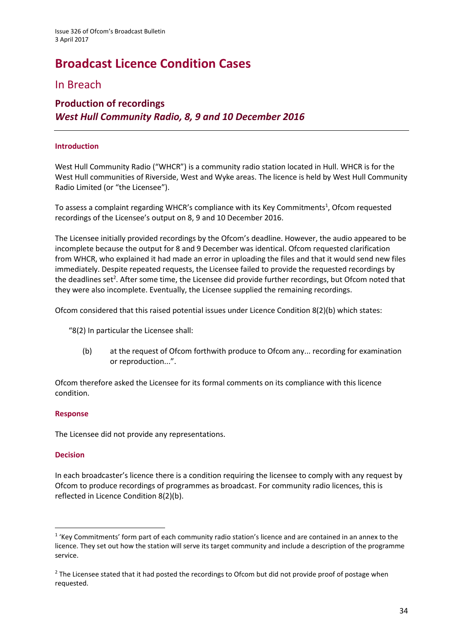# **Broadcast Licence Condition Cases**

# In Breach

# **Production of recordings** *West Hull Community Radio, 8, 9 and 10 December 2016*

#### **Introduction**

West Hull Community Radio ("WHCR") is a community radio station located in Hull. WHCR is for the West Hull communities of Riverside, West and Wyke areas. The licence is held by West Hull Community Radio Limited (or "the Licensee").

To assess a complaint regarding WHCR's compliance with its Key Commitments<sup>1</sup>, Ofcom requested recordings of the Licensee's output on 8, 9 and 10 December 2016.

The Licensee initially provided recordings by the Ofcom's deadline. However, the audio appeared to be incomplete because the output for 8 and 9 December was identical. Ofcom requested clarification from WHCR, who explained it had made an error in uploading the files and that it would send new files immediately. Despite repeated requests, the Licensee failed to provide the requested recordings by the deadlines set<sup>2</sup>. After some time, the Licensee did provide further recordings, but Ofcom noted that they were also incomplete. Eventually, the Licensee supplied the remaining recordings.

Ofcom considered that this raised potential issues under Licence Condition 8(2)(b) which states:

"8(2) In particular the Licensee shall:

(b) at the request of Ofcom forthwith produce to Ofcom any... recording for examination or reproduction...".

Ofcom therefore asked the Licensee for its formal comments on its compliance with this licence condition.

#### **Response**

The Licensee did not provide any representations.

#### **Decision**

**.** 

In each broadcaster's licence there is a condition requiring the licensee to comply with any request by Ofcom to produce recordings of programmes as broadcast. For community radio licences, this is reflected in Licence Condition 8(2)(b).

<sup>&</sup>lt;sup>1</sup> 'Key Commitments' form part of each community radio station's licence and are contained in an annex to the licence. They set out how the station will serve its target community and include a description of the programme service.

<sup>&</sup>lt;sup>2</sup> The Licensee stated that it had posted the recordings to Ofcom but did not provide proof of postage when requested.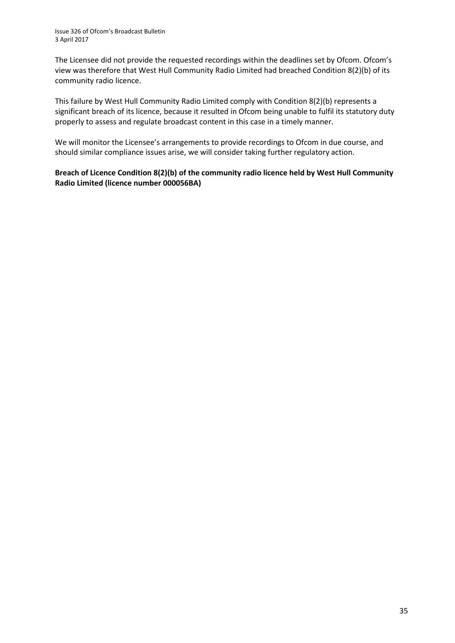The Licensee did not provide the requested recordings within the deadlines set by Ofcom. Ofcom's view was therefore that West Hull Community Radio Limited had breached Condition 8(2)(b) of its community radio licence.

This failure by West Hull Community Radio Limited comply with Condition 8(2)(b) represents a significant breach of its licence, because it resulted in Ofcom being unable to fulfil its statutory duty properly to assess and regulate broadcast content in this case in a timely manner.

We will monitor the Licensee's arrangements to provide recordings to Ofcom in due course, and should similar compliance issues arise, we will consider taking further regulatory action.

#### **Breach of Licence Condition 8(2)(b) of the community radio licence held by West Hull Community Radio Limited (licence number 000056BA)**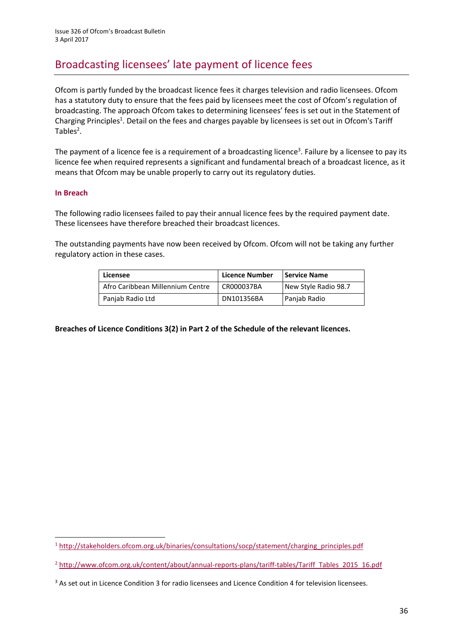# Broadcasting licensees' late payment of licence fees

Ofcom is partly funded by the broadcast licence fees it charges television and radio licensees. Ofcom has a statutory duty to ensure that the fees paid by licensees meet the cost of Ofcom's regulation of broadcasting. The approach Ofcom takes to determining licensees' fees is set out in the Statement of Charging Principles<sup>1</sup>. Detail on the fees and charges payable by licensees is set out in Ofcom's Tariff Tables $2$ .

The payment of a licence fee is a requirement of a broadcasting licence<sup>3</sup>. Failure by a licensee to pay its licence fee when required represents a significant and fundamental breach of a broadcast licence, as it means that Ofcom may be unable properly to carry out its regulatory duties.

#### **In Breach**

 $\overline{a}$ 

The following radio licensees failed to pay their annual licence fees by the required payment date. These licensees have therefore breached their broadcast licences.

The outstanding payments have now been received by Ofcom. Ofcom will not be taking any further regulatory action in these cases.

| Licensee                         | Licence Number | Service Name         |
|----------------------------------|----------------|----------------------|
| Afro Caribbean Millennium Centre | CR000037BA     | New Style Radio 98.7 |
| Panjab Radio Ltd                 | DN101356BA     | Panjab Radio         |

**Breaches of Licence Conditions 3(2) in Part 2 of the Schedule of the relevant licences.**

<sup>1</sup> [http://stakeholders.ofcom.org.uk/binaries/consultations/socp/statement/charging\\_principles.pdf](http://stakeholders.ofcom.org.uk/binaries/consultations/socp/statement/charging_principles.pdf)

<sup>&</sup>lt;sup>2</sup> [http://www.ofcom.org.uk/content/about/annual-reports-plans/tariff-tables/Tariff\\_Tables\\_2015\\_16.pdf](http://www.ofcom.org.uk/content/about/annual-reports-plans/tariff-tables/Tariff_Tables_2015_16.pdf)

<sup>3</sup> As set out in Licence Condition 3 for radio licensees and Licence Condition 4 for television licensees.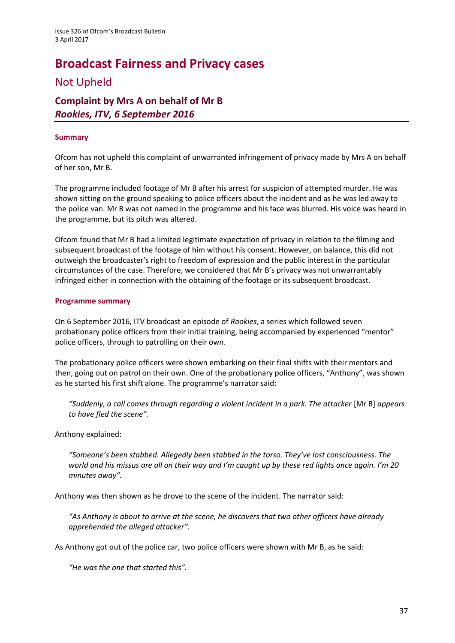# **Broadcast Fairness and Privacy cases** Not Upheld

# **Complaint by Mrs A on behalf of Mr B** *Rookies, ITV, 6 September 2016*

#### **Summary**

Ofcom has not upheld this complaint of unwarranted infringement of privacy made by Mrs A on behalf of her son, Mr B.

The programme included footage of Mr B after his arrest for suspicion of attempted murder. He was shown sitting on the ground speaking to police officers about the incident and as he was led away to the police van. Mr B was not named in the programme and his face was blurred. His voice was heard in the programme, but its pitch was altered.

Ofcom found that Mr B had a limited legitimate expectation of privacy in relation to the filming and subsequent broadcast of the footage of him without his consent. However, on balance, this did not outweigh the broadcaster's right to freedom of expression and the public interest in the particular circumstances of the case. Therefore, we considered that Mr B's privacy was not unwarrantably infringed either in connection with the obtaining of the footage or its subsequent broadcast.

#### **Programme summary**

On 6 September 2016, ITV broadcast an episode of *Rookies*, a series which followed seven probationary police officers from their initial training, being accompanied by experienced "mentor" police officers, through to patrolling on their own.

The probationary police officers were shown embarking on their final shifts with their mentors and then, going out on patrol on their own. One of the probationary police officers, "Anthony", was shown as he started his first shift alone. The programme's narrator said:

*"Suddenly, a call comes through regarding a violent incident in a park. The attacker* [Mr B] *appears to have fled the scene".*

Anthony explained:

*"Someone's been stabbed. Allegedly been stabbed in the torso. They've lost consciousness. The world and his missus are all on their way and I'm caught up by these red lights once again. I'm 20 minutes away".*

Anthony was then shown as he drove to the scene of the incident. The narrator said:

*"As Anthony is about to arrive at the scene, he discovers that two other officers have already apprehended the alleged attacker".* 

As Anthony got out of the police car, two police officers were shown with Mr B, as he said:

*"He was the one that started this".*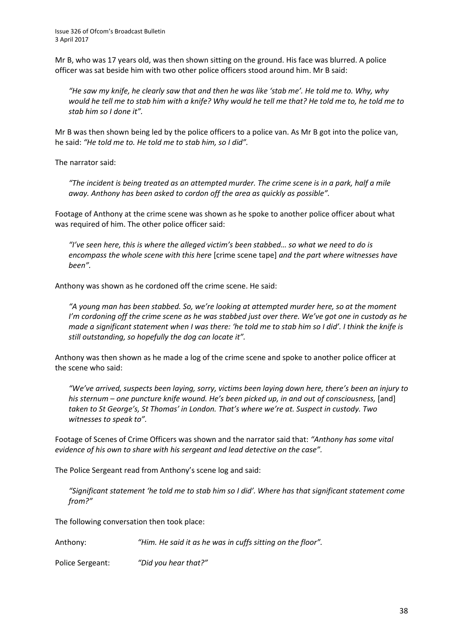Mr B, who was 17 years old, was then shown sitting on the ground. His face was blurred. A police officer was sat beside him with two other police officers stood around him. Mr B said:

*"He saw my knife, he clearly saw that and then he was like 'stab me'. He told me to. Why, why would he tell me to stab him with a knife? Why would he tell me that? He told me to, he told me to stab him so I done it".*

Mr B was then shown being led by the police officers to a police van. As Mr B got into the police van, he said: *"He told me to. He told me to stab him, so I did".* 

The narrator said:

*"The incident is being treated as an attempted murder. The crime scene is in a park, half a mile away. Anthony has been asked to cordon off the area as quickly as possible".*

Footage of Anthony at the crime scene was shown as he spoke to another police officer about what was required of him. The other police officer said:

*"I've seen here, this is where the alleged victim's been stabbed… so what we need to do is encompass the whole scene with this here* [crime scene tape] *and the part where witnesses have been".* 

Anthony was shown as he cordoned off the crime scene. He said:

*"A young man has been stabbed. So, we're looking at attempted murder here, so at the moment I'm cordoning off the crime scene as he was stabbed just over there. We've got one in custody as he made a significant statement when I was there: 'he told me to stab him so I did'. I think the knife is still outstanding, so hopefully the dog can locate it".* 

Anthony was then shown as he made a log of the crime scene and spoke to another police officer at the scene who said:

*"We've arrived, suspects been laying, sorry, victims been laying down here, there's been an injury to his sternum – one puncture knife wound. He's been picked up, in and out of consciousness,* [and] *taken to St George's, St Thomas' in London. That's where we're at. Suspect in custody. Two witnesses to speak to".* 

Footage of Scenes of Crime Officers was shown and the narrator said that: *"Anthony has some vital evidence of his own to share with his sergeant and lead detective on the case".* 

The Police Sergeant read from Anthony's scene log and said:

*"Significant statement 'he told me to stab him so I did'. Where has that significant statement come from?"*

The following conversation then took place:

Anthony: *"Him. He said it as he was in cuffs sitting on the floor".* 

Police Sergeant: *"Did you hear that?"*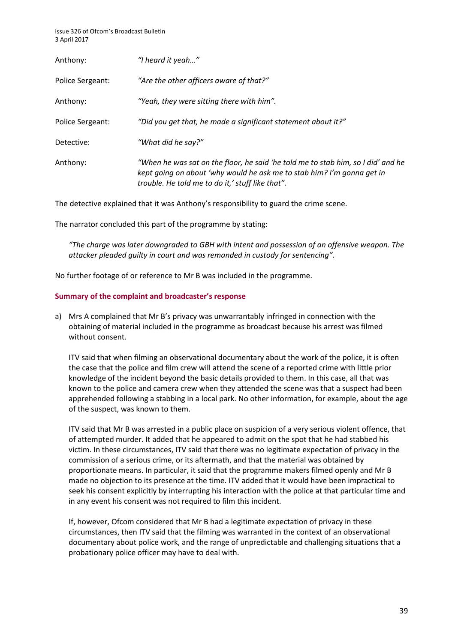| Anthony:                | "I heard it yeah"                                                                                                                                                                                              |
|-------------------------|----------------------------------------------------------------------------------------------------------------------------------------------------------------------------------------------------------------|
| Police Sergeant:        | "Are the other officers aware of that?"                                                                                                                                                                        |
| Anthony:                | "Yeah, they were sitting there with him".                                                                                                                                                                      |
| <b>Police Sergeant:</b> | "Did you get that, he made a significant statement about it?"                                                                                                                                                  |
| Detective:              | "What did he say?"                                                                                                                                                                                             |
| Anthony:                | "When he was sat on the floor, he said 'he told me to stab him, so I did' and he<br>kept going on about 'why would he ask me to stab him? I'm gonna get in<br>trouble. He told me to do it,' stuff like that". |

The detective explained that it was Anthony's responsibility to guard the crime scene.

The narrator concluded this part of the programme by stating:

*"The charge was later downgraded to GBH with intent and possession of an offensive weapon. The attacker pleaded guilty in court and was remanded in custody for sentencing".* 

No further footage of or reference to Mr B was included in the programme.

#### **Summary of the complaint and broadcaster's response**

a) Mrs A complained that Mr B's privacy was unwarrantably infringed in connection with the obtaining of material included in the programme as broadcast because his arrest was filmed without consent.

ITV said that when filming an observational documentary about the work of the police, it is often the case that the police and film crew will attend the scene of a reported crime with little prior knowledge of the incident beyond the basic details provided to them. In this case, all that was known to the police and camera crew when they attended the scene was that a suspect had been apprehended following a stabbing in a local park. No other information, for example, about the age of the suspect, was known to them.

ITV said that Mr B was arrested in a public place on suspicion of a very serious violent offence, that of attempted murder. It added that he appeared to admit on the spot that he had stabbed his victim. In these circumstances, ITV said that there was no legitimate expectation of privacy in the commission of a serious crime, or its aftermath, and that the material was obtained by proportionate means. In particular, it said that the programme makers filmed openly and Mr B made no objection to its presence at the time. ITV added that it would have been impractical to seek his consent explicitly by interrupting his interaction with the police at that particular time and in any event his consent was not required to film this incident.

If, however, Ofcom considered that Mr B had a legitimate expectation of privacy in these circumstances, then ITV said that the filming was warranted in the context of an observational documentary about police work, and the range of unpredictable and challenging situations that a probationary police officer may have to deal with.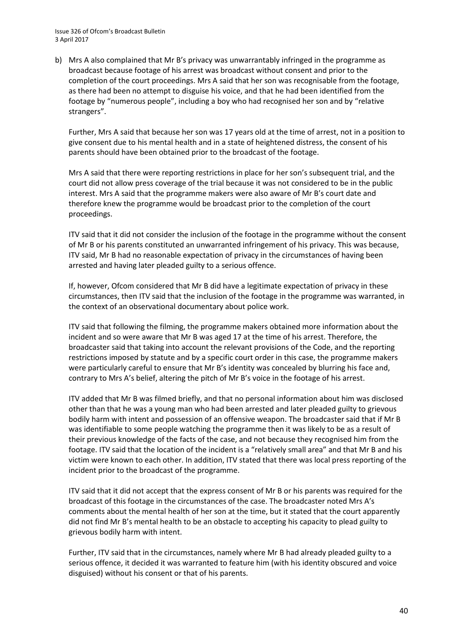b) Mrs A also complained that Mr B's privacy was unwarrantably infringed in the programme as broadcast because footage of his arrest was broadcast without consent and prior to the completion of the court proceedings. Mrs A said that her son was recognisable from the footage, as there had been no attempt to disguise his voice, and that he had been identified from the footage by "numerous people", including a boy who had recognised her son and by "relative strangers".

Further, Mrs A said that because her son was 17 years old at the time of arrest, not in a position to give consent due to his mental health and in a state of heightened distress, the consent of his parents should have been obtained prior to the broadcast of the footage.

Mrs A said that there were reporting restrictions in place for her son's subsequent trial, and the court did not allow press coverage of the trial because it was not considered to be in the public interest. Mrs A said that the programme makers were also aware of Mr B's court date and therefore knew the programme would be broadcast prior to the completion of the court proceedings.

ITV said that it did not consider the inclusion of the footage in the programme without the consent of Mr B or his parents constituted an unwarranted infringement of his privacy. This was because, ITV said, Mr B had no reasonable expectation of privacy in the circumstances of having been arrested and having later pleaded guilty to a serious offence.

If, however, Ofcom considered that Mr B did have a legitimate expectation of privacy in these circumstances, then ITV said that the inclusion of the footage in the programme was warranted, in the context of an observational documentary about police work.

ITV said that following the filming, the programme makers obtained more information about the incident and so were aware that Mr B was aged 17 at the time of his arrest. Therefore, the broadcaster said that taking into account the relevant provisions of the Code, and the reporting restrictions imposed by statute and by a specific court order in this case, the programme makers were particularly careful to ensure that Mr B's identity was concealed by blurring his face and, contrary to Mrs A's belief, altering the pitch of Mr B's voice in the footage of his arrest.

ITV added that Mr B was filmed briefly, and that no personal information about him was disclosed other than that he was a young man who had been arrested and later pleaded guilty to grievous bodily harm with intent and possession of an offensive weapon. The broadcaster said that if Mr B was identifiable to some people watching the programme then it was likely to be as a result of their previous knowledge of the facts of the case, and not because they recognised him from the footage. ITV said that the location of the incident is a "relatively small area" and that Mr B and his victim were known to each other. In addition, ITV stated that there was local press reporting of the incident prior to the broadcast of the programme.

ITV said that it did not accept that the express consent of Mr B or his parents was required for the broadcast of this footage in the circumstances of the case. The broadcaster noted Mrs A's comments about the mental health of her son at the time, but it stated that the court apparently did not find Mr B's mental health to be an obstacle to accepting his capacity to plead guilty to grievous bodily harm with intent.

Further, ITV said that in the circumstances, namely where Mr B had already pleaded guilty to a serious offence, it decided it was warranted to feature him (with his identity obscured and voice disguised) without his consent or that of his parents.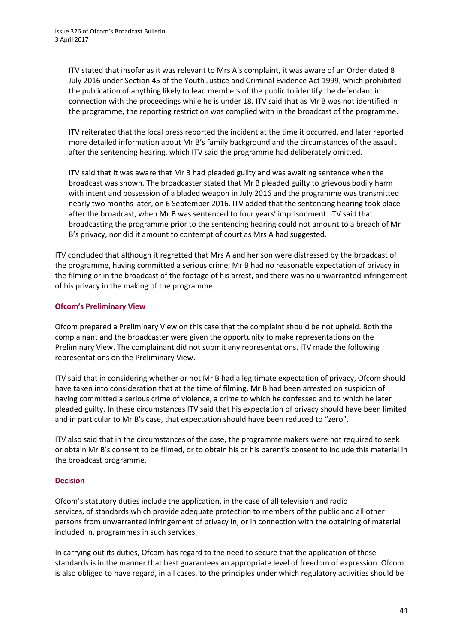ITV stated that insofar as it was relevant to Mrs A's complaint, it was aware of an Order dated 8 July 2016 under Section 45 of the Youth Justice and Criminal Evidence Act 1999, which prohibited the publication of anything likely to lead members of the public to identify the defendant in connection with the proceedings while he is under 18. ITV said that as Mr B was not identified in the programme, the reporting restriction was complied with in the broadcast of the programme.

ITV reiterated that the local press reported the incident at the time it occurred, and later reported more detailed information about Mr B's family background and the circumstances of the assault after the sentencing hearing, which ITV said the programme had deliberately omitted.

ITV said that it was aware that Mr B had pleaded guilty and was awaiting sentence when the broadcast was shown. The broadcaster stated that Mr B pleaded guilty to grievous bodily harm with intent and possession of a bladed weapon in July 2016 and the programme was transmitted nearly two months later, on 6 September 2016. ITV added that the sentencing hearing took place after the broadcast, when Mr B was sentenced to four years' imprisonment. ITV said that broadcasting the programme prior to the sentencing hearing could not amount to a breach of Mr B's privacy, nor did it amount to contempt of court as Mrs A had suggested.

ITV concluded that although it regretted that Mrs A and her son were distressed by the broadcast of the programme, having committed a serious crime, Mr B had no reasonable expectation of privacy in the filming or in the broadcast of the footage of his arrest, and there was no unwarranted infringement of his privacy in the making of the programme.

#### **Ofcom's Preliminary View**

Ofcom prepared a Preliminary View on this case that the complaint should be not upheld. Both the complainant and the broadcaster were given the opportunity to make representations on the Preliminary View. The complainant did not submit any representations. ITV made the following representations on the Preliminary View.

ITV said that in considering whether or not Mr B had a legitimate expectation of privacy, Ofcom should have taken into consideration that at the time of filming, Mr B had been arrested on suspicion of having committed a serious crime of violence, a crime to which he confessed and to which he later pleaded guilty. In these circumstances ITV said that his expectation of privacy should have been limited and in particular to Mr B's case, that expectation should have been reduced to "zero".

ITV also said that in the circumstances of the case, the programme makers were not required to seek or obtain Mr B's consent to be filmed, or to obtain his or his parent's consent to include this material in the broadcast programme.

#### **Decision**

Ofcom's statutory duties include the application, in the case of all television and radio services, of standards which provide adequate protection to members of the public and all other persons from unwarranted infringement of privacy in, or in connection with the obtaining of material included in, programmes in such services.

In carrying out its duties, Ofcom has regard to the need to secure that the application of these standards is in the manner that best guarantees an appropriate level of freedom of expression. Ofcom is also obliged to have regard, in all cases, to the principles under which regulatory activities should be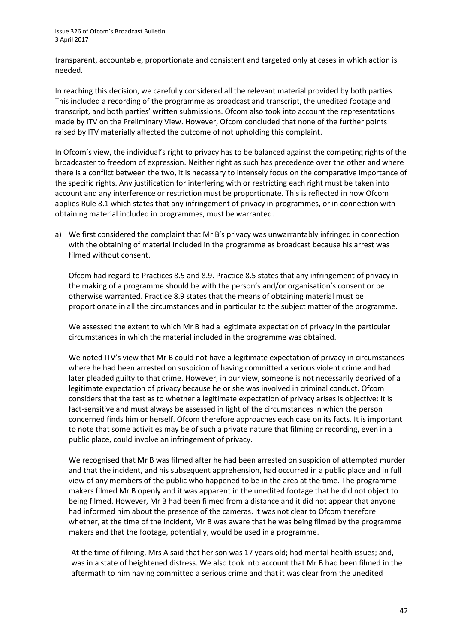transparent, accountable, proportionate and consistent and targeted only at cases in which action is needed.

In reaching this decision, we carefully considered all the relevant material provided by both parties. This included a recording of the programme as broadcast and transcript, the unedited footage and transcript, and both parties' written submissions. Ofcom also took into account the representations made by ITV on the Preliminary View. However, Ofcom concluded that none of the further points raised by ITV materially affected the outcome of not upholding this complaint.

In Ofcom's view, the individual's right to privacy has to be balanced against the competing rights of the broadcaster to freedom of expression. Neither right as such has precedence over the other and where there is a conflict between the two, it is necessary to intensely focus on the comparative importance of the specific rights. Any justification for interfering with or restricting each right must be taken into account and any interference or restriction must be proportionate. This is reflected in how Ofcom applies Rule 8.1 which states that any infringement of privacy in programmes, or in connection with obtaining material included in programmes, must be warranted.

a) We first considered the complaint that Mr B's privacy was unwarrantably infringed in connection with the obtaining of material included in the programme as broadcast because his arrest was filmed without consent.

Ofcom had regard to Practices 8.5 and 8.9. Practice 8.5 states that any infringement of privacy in the making of a programme should be with the person's and/or organisation's consent or be otherwise warranted. Practice 8.9 states that the means of obtaining material must be proportionate in all the circumstances and in particular to the subject matter of the programme.

We assessed the extent to which Mr B had a legitimate expectation of privacy in the particular circumstances in which the material included in the programme was obtained.

We noted ITV's view that Mr B could not have a legitimate expectation of privacy in circumstances where he had been arrested on suspicion of having committed a serious violent crime and had later pleaded guilty to that crime. However, in our view, someone is not necessarily deprived of a legitimate expectation of privacy because he or she was involved in criminal conduct. Ofcom considers that the test as to whether a legitimate expectation of privacy arises is objective: it is fact-sensitive and must always be assessed in light of the circumstances in which the person concerned finds him or herself. Ofcom therefore approaches each case on its facts. It is important to note that some activities may be of such a private nature that filming or recording, even in a public place, could involve an infringement of privacy.

We recognised that Mr B was filmed after he had been arrested on suspicion of attempted murder and that the incident, and his subsequent apprehension, had occurred in a public place and in full view of any members of the public who happened to be in the area at the time. The programme makers filmed Mr B openly and it was apparent in the unedited footage that he did not object to being filmed. However, Mr B had been filmed from a distance and it did not appear that anyone had informed him about the presence of the cameras. It was not clear to Ofcom therefore whether, at the time of the incident, Mr B was aware that he was being filmed by the programme makers and that the footage, potentially, would be used in a programme.

At the time of filming, Mrs A said that her son was 17 years old; had mental health issues; and, was in a state of heightened distress. We also took into account that Mr B had been filmed in the aftermath to him having committed a serious crime and that it was clear from the unedited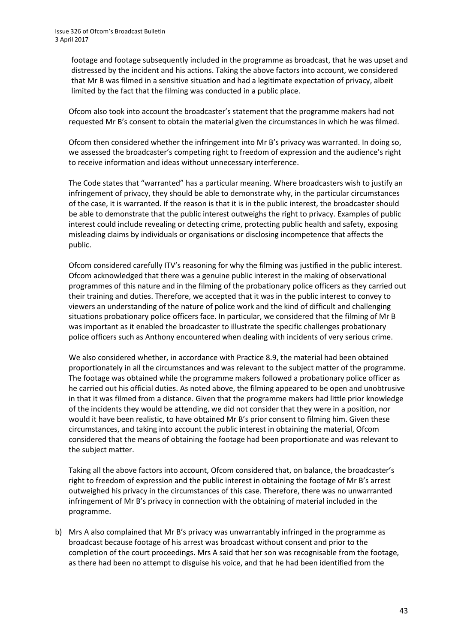footage and footage subsequently included in the programme as broadcast, that he was upset and distressed by the incident and his actions. Taking the above factors into account, we considered that Mr B was filmed in a sensitive situation and had a legitimate expectation of privacy, albeit limited by the fact that the filming was conducted in a public place.

Ofcom also took into account the broadcaster's statement that the programme makers had not requested Mr B's consent to obtain the material given the circumstances in which he was filmed.

Ofcom then considered whether the infringement into Mr B's privacy was warranted. In doing so, we assessed the broadcaster's competing right to freedom of expression and the audience's right to receive information and ideas without unnecessary interference.

The Code states that "warranted" has a particular meaning. Where broadcasters wish to justify an infringement of privacy, they should be able to demonstrate why, in the particular circumstances of the case, it is warranted. If the reason is that it is in the public interest, the broadcaster should be able to demonstrate that the public interest outweighs the right to privacy. Examples of public interest could include revealing or detecting crime, protecting public health and safety, exposing misleading claims by individuals or organisations or disclosing incompetence that affects the public.

Ofcom considered carefully ITV's reasoning for why the filming was justified in the public interest. Ofcom acknowledged that there was a genuine public interest in the making of observational programmes of this nature and in the filming of the probationary police officers as they carried out their training and duties. Therefore, we accepted that it was in the public interest to convey to viewers an understanding of the nature of police work and the kind of difficult and challenging situations probationary police officers face. In particular, we considered that the filming of Mr B was important as it enabled the broadcaster to illustrate the specific challenges probationary police officers such as Anthony encountered when dealing with incidents of very serious crime.

We also considered whether, in accordance with Practice 8.9, the material had been obtained proportionately in all the circumstances and was relevant to the subject matter of the programme. The footage was obtained while the programme makers followed a probationary police officer as he carried out his official duties. As noted above, the filming appeared to be open and unobtrusive in that it was filmed from a distance. Given that the programme makers had little prior knowledge of the incidents they would be attending, we did not consider that they were in a position, nor would it have been realistic, to have obtained Mr B's prior consent to filming him. Given these circumstances, and taking into account the public interest in obtaining the material, Ofcom considered that the means of obtaining the footage had been proportionate and was relevant to the subject matter.

Taking all the above factors into account, Ofcom considered that, on balance, the broadcaster's right to freedom of expression and the public interest in obtaining the footage of Mr B's arrest outweighed his privacy in the circumstances of this case. Therefore, there was no unwarranted infringement of Mr B's privacy in connection with the obtaining of material included in the programme.

b) Mrs A also complained that Mr B's privacy was unwarrantably infringed in the programme as broadcast because footage of his arrest was broadcast without consent and prior to the completion of the court proceedings. Mrs A said that her son was recognisable from the footage, as there had been no attempt to disguise his voice, and that he had been identified from the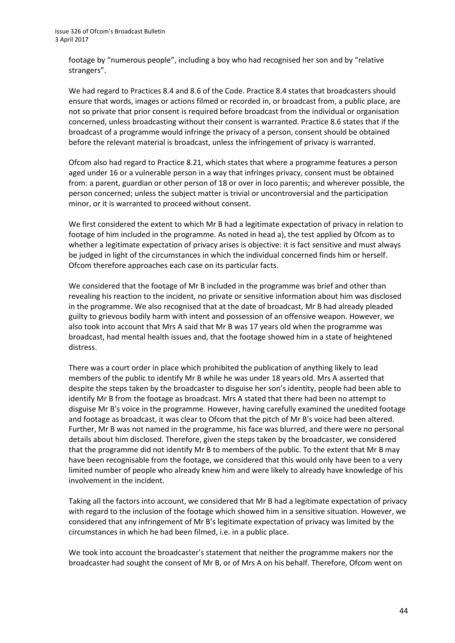footage by "numerous people", including a boy who had recognised her son and by "relative strangers".

We had regard to Practices 8.4 and 8.6 of the Code. Practice 8.4 states that broadcasters should ensure that words, images or actions filmed or recorded in, or broadcast from, a public place, are not so private that prior consent is required before broadcast from the individual or organisation concerned, unless broadcasting without their consent is warranted. Practice 8.6 states that if the broadcast of a programme would infringe the privacy of a person, consent should be obtained before the relevant material is broadcast, unless the infringement of privacy is warranted.

Ofcom also had regard to Practice 8.21, which states that where a programme features a person aged under 16 or a vulnerable person in a way that infringes privacy, consent must be obtained from: a parent, guardian or other person of 18 or over in loco parentis; and wherever possible, the person concerned; unless the subject matter is trivial or uncontroversial and the participation minor, or it is warranted to proceed without consent.

We first considered the extent to which Mr B had a legitimate expectation of privacy in relation to footage of him included in the programme. As noted in head a), the test applied by Ofcom as to whether a legitimate expectation of privacy arises is objective: it is fact sensitive and must always be judged in light of the circumstances in which the individual concerned finds him or herself. Ofcom therefore approaches each case on its particular facts.

We considered that the footage of Mr B included in the programme was brief and other than revealing his reaction to the incident, no private or sensitive information about him was disclosed in the programme. We also recognised that at the date of broadcast, Mr B had already pleaded guilty to grievous bodily harm with intent and possession of an offensive weapon. However, we also took into account that Mrs A said that Mr B was 17 years old when the programme was broadcast, had mental health issues and, that the footage showed him in a state of heightened distress.

There was a court order in place which prohibited the publication of anything likely to lead members of the public to identify Mr B while he was under 18 years old. Mrs A asserted that despite the steps taken by the broadcaster to disguise her son's identity, people had been able to identify Mr B from the footage as broadcast. Mrs A stated that there had been no attempt to disguise Mr B's voice in the programme. However, having carefully examined the unedited footage and footage as broadcast, it was clear to Ofcom that the pitch of Mr B's voice had been altered. Further, Mr B was not named in the programme, his face was blurred, and there were no personal details about him disclosed. Therefore, given the steps taken by the broadcaster, we considered that the programme did not identify Mr B to members of the public. To the extent that Mr B may have been recognisable from the footage, we considered that this would only have been to a very limited number of people who already knew him and were likely to already have knowledge of his involvement in the incident.

Taking all the factors into account, we considered that Mr B had a legitimate expectation of privacy with regard to the inclusion of the footage which showed him in a sensitive situation. However, we considered that any infringement of Mr B's legitimate expectation of privacy was limited by the circumstances in which he had been filmed, i.e. in a public place.

We took into account the broadcaster's statement that neither the programme makers nor the broadcaster had sought the consent of Mr B, or of Mrs A on his behalf. Therefore, Ofcom went on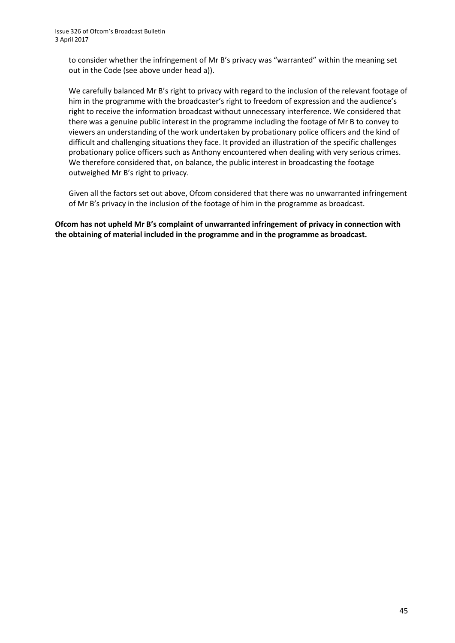to consider whether the infringement of Mr B's privacy was "warranted" within the meaning set out in the Code (see above under head a)).

We carefully balanced Mr B's right to privacy with regard to the inclusion of the relevant footage of him in the programme with the broadcaster's right to freedom of expression and the audience's right to receive the information broadcast without unnecessary interference. We considered that there was a genuine public interest in the programme including the footage of Mr B to convey to viewers an understanding of the work undertaken by probationary police officers and the kind of difficult and challenging situations they face. It provided an illustration of the specific challenges probationary police officers such as Anthony encountered when dealing with very serious crimes. We therefore considered that, on balance, the public interest in broadcasting the footage outweighed Mr B's right to privacy.

Given all the factors set out above, Ofcom considered that there was no unwarranted infringement of Mr B's privacy in the inclusion of the footage of him in the programme as broadcast.

**Ofcom has not upheld Mr B's complaint of unwarranted infringement of privacy in connection with the obtaining of material included in the programme and in the programme as broadcast.**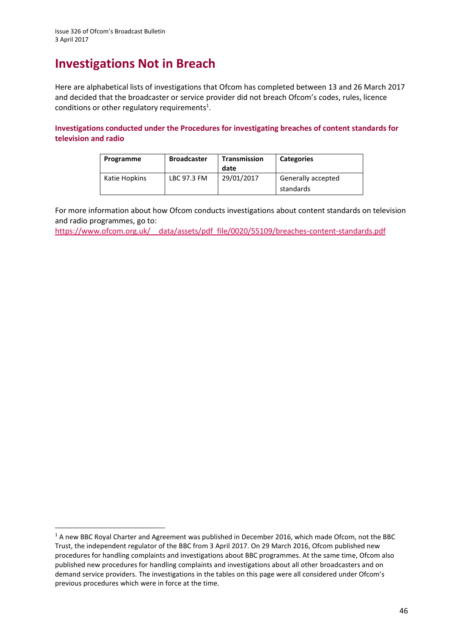**.** 

# **Investigations Not in Breach**

Here are alphabetical lists of investigations that Ofcom has completed between 13 and 26 March 2017 and decided that the broadcaster or service provider did not breach Ofcom's codes, rules, licence conditions or other regulatory requirements<sup>1</sup>.

**Investigations conducted under the Procedures for investigating breaches of content standards for television and radio**

| Programme     | <b>Broadcaster</b> | Transmission<br>date | <b>Categories</b>               |
|---------------|--------------------|----------------------|---------------------------------|
| Katie Hopkins | LBC 97.3 FM        | 29/01/2017           | Generally accepted<br>standards |

For more information about how Ofcom conducts investigations about content standards on television and radio programmes, go to:

[https://www.ofcom.org.uk/\\_\\_data/assets/pdf\\_file/0020/55109/breaches-content-standards.pdf](https://www.ofcom.org.uk/__data/assets/pdf_file/0020/55109/breaches-content-standards.pdf)

<sup>&</sup>lt;sup>1</sup> A new BBC Royal Charter and Agreement was published in December 2016, which made Ofcom, not the BBC Trust, the independent regulator of the BBC from 3 April 2017. On 29 March 2016, Ofcom published new procedures for handling complaints and investigations about BBC programmes. At the same time, Ofcom also published new procedures for handling complaints and investigations about all other broadcasters and on demand service providers. The investigations in the tables on this page were all considered under Ofcom's previous procedures which were in force at the time.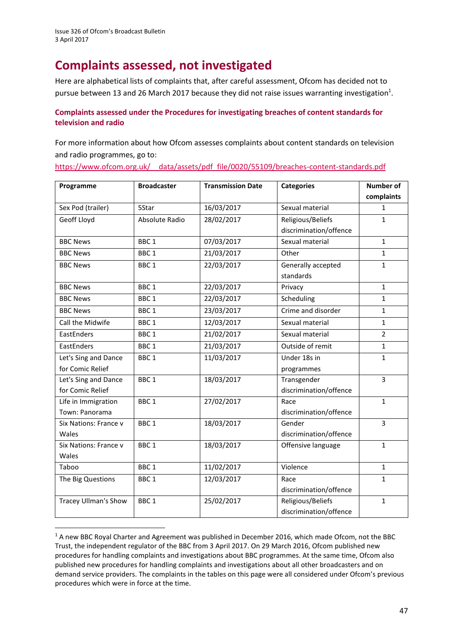**.** 

# **Complaints assessed, not investigated**

Here are alphabetical lists of complaints that, after careful assessment, Ofcom has decided not to pursue between 13 and 26 March 2017 because they did not raise issues warranting investigation<sup>1</sup>.

#### **Complaints assessed under the Procedures for investigating breaches of content standards for television and radio**

For more information about how Ofcom assesses complaints about content standards on television and radio programmes, go to:

[https://www.ofcom.org.uk/\\_\\_data/assets/pdf\\_file/0020/55109/breaches-content-standards.pdf](https://www.ofcom.org.uk/__data/assets/pdf_file/0020/55109/breaches-content-standards.pdf)

| Programme                   | <b>Broadcaster</b> | <b>Transmission Date</b> | <b>Categories</b>      | <b>Number of</b> |
|-----------------------------|--------------------|--------------------------|------------------------|------------------|
|                             |                    |                          |                        | complaints       |
| Sex Pod (trailer)           | 5Star              | 16/03/2017               | Sexual material        | 1                |
| Geoff Lloyd                 | Absolute Radio     | 28/02/2017               | Religious/Beliefs      | $\mathbf{1}$     |
|                             |                    |                          | discrimination/offence |                  |
| <b>BBC News</b>             | BBC <sub>1</sub>   | 07/03/2017               | Sexual material        | $\mathbf{1}$     |
| <b>BBC News</b>             | BBC <sub>1</sub>   | 21/03/2017               | Other                  | $\mathbf{1}$     |
| <b>BBC News</b>             | BBC <sub>1</sub>   | 22/03/2017               | Generally accepted     | $\mathbf{1}$     |
|                             |                    |                          | standards              |                  |
| <b>BBC News</b>             | BBC <sub>1</sub>   | 22/03/2017               | Privacy                | $\mathbf{1}$     |
| <b>BBC News</b>             | BBC <sub>1</sub>   | 22/03/2017               | Scheduling             | $\mathbf{1}$     |
| <b>BBC News</b>             | BBC <sub>1</sub>   | 23/03/2017               | Crime and disorder     | $\mathbf{1}$     |
| Call the Midwife            | BBC <sub>1</sub>   | 12/03/2017               | Sexual material        | $\mathbf{1}$     |
| EastEnders                  | BBC <sub>1</sub>   | 21/02/2017               | Sexual material        | $\overline{2}$   |
| EastEnders                  | BBC <sub>1</sub>   | 21/03/2017               | Outside of remit       | $\mathbf{1}$     |
| Let's Sing and Dance        | BBC <sub>1</sub>   | 11/03/2017               | Under 18s in           | $\mathbf{1}$     |
| for Comic Relief            |                    |                          | programmes             |                  |
| Let's Sing and Dance        | BBC <sub>1</sub>   | 18/03/2017               | Transgender            | $\overline{3}$   |
| for Comic Relief            |                    |                          | discrimination/offence |                  |
| Life in Immigration         | BBC <sub>1</sub>   | 27/02/2017               | Race                   | $\mathbf{1}$     |
| Town: Panorama              |                    |                          | discrimination/offence |                  |
| Six Nations: France v       | BBC <sub>1</sub>   | 18/03/2017               | Gender                 | 3                |
| Wales                       |                    |                          | discrimination/offence |                  |
| Six Nations: France v       | BBC <sub>1</sub>   | 18/03/2017               | Offensive language     | $\mathbf{1}$     |
| Wales                       |                    |                          |                        |                  |
| Taboo                       | BBC <sub>1</sub>   | 11/02/2017               | Violence               | $\mathbf{1}$     |
| The Big Questions           | BBC <sub>1</sub>   | 12/03/2017               | Race                   | $\mathbf{1}$     |
|                             |                    |                          | discrimination/offence |                  |
| <b>Tracey Ullman's Show</b> | BBC <sub>1</sub>   | 25/02/2017               | Religious/Beliefs      | $\mathbf{1}$     |
|                             |                    |                          | discrimination/offence |                  |

<sup>&</sup>lt;sup>1</sup> A new BBC Royal Charter and Agreement was published in December 2016, which made Ofcom, not the BBC Trust, the independent regulator of the BBC from 3 April 2017. On 29 March 2016, Ofcom published new procedures for handling complaints and investigations about BBC programmes. At the same time, Ofcom also published new procedures for handling complaints and investigations about all other broadcasters and on demand service providers. The complaints in the tables on this page were all considered under Ofcom's previous procedures which were in force at the time.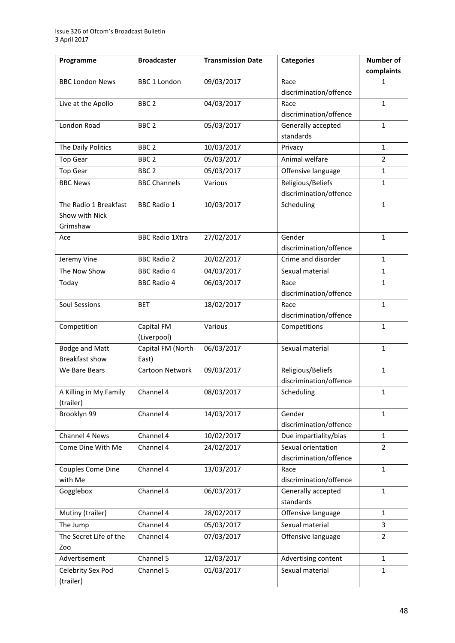| Programme              | <b>Broadcaster</b>     | <b>Transmission Date</b> | <b>Categories</b>      | Number of      |
|------------------------|------------------------|--------------------------|------------------------|----------------|
|                        |                        |                          |                        | complaints     |
| <b>BBC London News</b> | <b>BBC 1 London</b>    | 09/03/2017               | Race                   | 1              |
|                        |                        |                          | discrimination/offence |                |
| Live at the Apollo     | BBC <sub>2</sub>       | 04/03/2017               | Race                   | 1              |
|                        |                        |                          | discrimination/offence |                |
| London Road            | BBC <sub>2</sub>       | 05/03/2017               | Generally accepted     | 1              |
|                        |                        |                          | standards              |                |
| The Daily Politics     | BBC <sub>2</sub>       | 10/03/2017               | Privacy                | $\mathbf{1}$   |
| <b>Top Gear</b>        | BBC <sub>2</sub>       | 05/03/2017               | Animal welfare         | $\overline{2}$ |
| <b>Top Gear</b>        | BBC <sub>2</sub>       | 05/03/2017               | Offensive language     | 1              |
| <b>BBC News</b>        | <b>BBC Channels</b>    | Various                  | Religious/Beliefs      | 1              |
|                        |                        |                          | discrimination/offence |                |
| The Radio 1 Breakfast  | <b>BBC Radio 1</b>     | 10/03/2017               | Scheduling             | 1              |
| Show with Nick         |                        |                          |                        |                |
| Grimshaw               |                        |                          |                        |                |
| Ace                    | <b>BBC Radio 1Xtra</b> | 27/02/2017               | Gender                 | 1              |
|                        |                        |                          | discrimination/offence |                |
| Jeremy Vine            | <b>BBC Radio 2</b>     | 20/02/2017               | Crime and disorder     | $\mathbf{1}$   |
| The Now Show           | <b>BBC Radio 4</b>     | 04/03/2017               | Sexual material        | $\mathbf{1}$   |
| Today                  | <b>BBC Radio 4</b>     | 06/03/2017               | Race                   | 1              |
|                        |                        |                          | discrimination/offence |                |
| <b>Soul Sessions</b>   | <b>BET</b>             | 18/02/2017               | Race                   | $\mathbf{1}$   |
|                        |                        |                          | discrimination/offence |                |
| Competition            | Capital FM             | Various                  | Competitions           | 1              |
|                        | (Liverpool)            |                          |                        |                |
| <b>Bodge and Matt</b>  | Capital FM (North      | 06/03/2017               | Sexual material        | 1              |
| <b>Breakfast show</b>  | East)                  |                          |                        |                |
| We Bare Bears          | Cartoon Network        | 09/03/2017               | Religious/Beliefs      | 1              |
|                        |                        |                          | discrimination/offence |                |
| A Killing in My Family | Channel 4              | 08/03/2017               | Scheduling             | 1              |
| (trailer)              |                        |                          |                        |                |
| Brooklyn 99            | Channel 4              | 14/03/2017               | Gender                 | 1              |
|                        |                        |                          | discrimination/offence |                |
| Channel 4 News         | Channel 4              | 10/02/2017               | Due impartiality/bias  | $\mathbf{1}$   |
| Come Dine With Me      | Channel 4              | 24/02/2017               | Sexual orientation     | $\overline{2}$ |
|                        |                        |                          | discrimination/offence |                |
| Couples Come Dine      | Channel 4              | 13/03/2017               | Race                   | $\mathbf 1$    |
| with Me                |                        |                          | discrimination/offence |                |
| Gogglebox              | Channel 4              | 06/03/2017               | Generally accepted     | $\mathbf{1}$   |
|                        |                        |                          | standards              |                |
| Mutiny (trailer)       | Channel 4              | 28/02/2017               | Offensive language     | 1              |
| The Jump               | Channel 4              | 05/03/2017               | Sexual material        | 3              |
| The Secret Life of the | Channel 4              | 07/03/2017               | Offensive language     | $\overline{2}$ |
| Zoo                    |                        |                          |                        |                |
| Advertisement          | Channel 5              | 12/03/2017               | Advertising content    | 1              |
| Celebrity Sex Pod      | Channel 5              | 01/03/2017               | Sexual material        | 1              |
| (trailer)              |                        |                          |                        |                |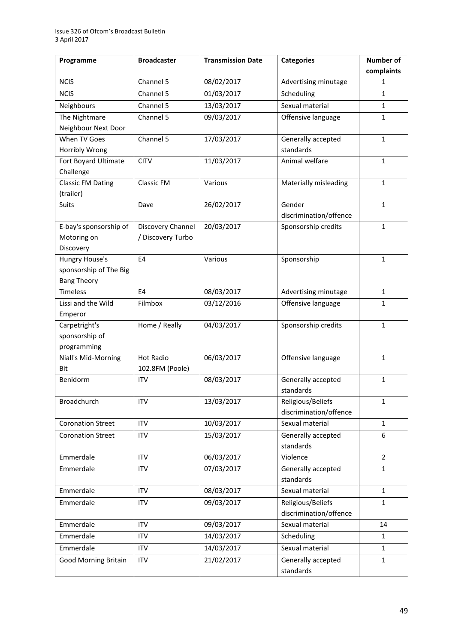| Programme                   | <b>Broadcaster</b> | <b>Transmission Date</b> | <b>Categories</b>              | <b>Number of</b> |
|-----------------------------|--------------------|--------------------------|--------------------------------|------------------|
|                             |                    |                          |                                | complaints       |
| <b>NCIS</b>                 | Channel 5          | 08/02/2017               | Advertising minutage           | 1                |
| <b>NCIS</b>                 | Channel 5          | 01/03/2017               | Scheduling                     | $\mathbf{1}$     |
| Neighbours                  | Channel 5          | 13/03/2017               | Sexual material                | $\mathbf{1}$     |
| The Nightmare               | Channel 5          | 09/03/2017               | Offensive language             | 1                |
| Neighbour Next Door         |                    |                          |                                |                  |
| When TV Goes                | Channel 5          | 17/03/2017               | Generally accepted             | $\mathbf{1}$     |
| Horribly Wrong              |                    |                          | standards                      |                  |
| Fort Boyard Ultimate        | <b>CITV</b>        | 11/03/2017               | Animal welfare                 | $\mathbf{1}$     |
| Challenge                   |                    |                          |                                |                  |
| <b>Classic FM Dating</b>    | Classic FM         | Various                  | Materially misleading          | $\mathbf{1}$     |
| (trailer)<br><b>Suits</b>   |                    | 26/02/2017               | Gender                         | $\mathbf{1}$     |
|                             | Dave               |                          | discrimination/offence         |                  |
| E-bay's sponsorship of      | Discovery Channel  | 20/03/2017               | Sponsorship credits            | $\mathbf{1}$     |
| Motoring on                 | / Discovery Turbo  |                          |                                |                  |
| Discovery                   |                    |                          |                                |                  |
| Hungry House's              | E <sub>4</sub>     | Various                  | Sponsorship                    | $\mathbf{1}$     |
| sponsorship of The Big      |                    |                          |                                |                  |
| <b>Bang Theory</b>          |                    |                          |                                |                  |
| <b>Timeless</b>             | E4                 | 08/03/2017               | Advertising minutage           | $\mathbf{1}$     |
| Lissi and the Wild          | Filmbox            | 03/12/2016               | Offensive language             | 1                |
| Emperor                     |                    |                          |                                |                  |
| Carpetright's               | Home / Really      | 04/03/2017               | Sponsorship credits            | $\mathbf{1}$     |
| sponsorship of              |                    |                          |                                |                  |
| programming                 |                    |                          |                                |                  |
| Niall's Mid-Morning         | <b>Hot Radio</b>   | 06/03/2017               | Offensive language             | 1                |
| Bit                         | 102.8FM (Poole)    |                          |                                |                  |
| Benidorm                    | <b>ITV</b>         | 08/03/2017               | Generally accepted             | $\mathbf{1}$     |
|                             |                    |                          | standards<br>Religious/Beliefs |                  |
| Broadchurch                 | <b>ITV</b>         | 13/03/2017               | discrimination/offence         | $\mathbf{1}$     |
| <b>Coronation Street</b>    | <b>ITV</b>         | 10/03/2017               | Sexual material                | $\mathbf{1}$     |
| <b>Coronation Street</b>    | ITV                | 15/03/2017               | Generally accepted             | 6                |
|                             |                    |                          | standards                      |                  |
| Emmerdale                   | <b>ITV</b>         | 06/03/2017               | Violence                       | $\overline{2}$   |
| Emmerdale                   | <b>ITV</b>         | 07/03/2017               | Generally accepted             | $\mathbf{1}$     |
|                             |                    |                          | standards                      |                  |
| Emmerdale                   | ITV                | 08/03/2017               | Sexual material                | $\mathbf{1}$     |
| Emmerdale                   | ITV                | 09/03/2017               | Religious/Beliefs              | $\mathbf{1}$     |
|                             |                    |                          | discrimination/offence         |                  |
| Emmerdale                   | <b>ITV</b>         | 09/03/2017               | Sexual material                | 14               |
| Emmerdale                   | ITV                | 14/03/2017               | Scheduling                     | 1                |
| Emmerdale                   | ITV                | 14/03/2017               | Sexual material                | $\mathbf{1}$     |
| <b>Good Morning Britain</b> | <b>ITV</b>         | 21/02/2017               | Generally accepted             | $\mathbf{1}$     |
|                             |                    |                          | standards                      |                  |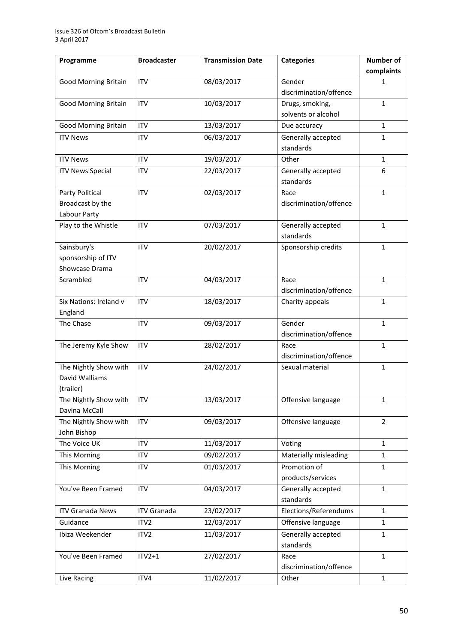| Programme                              | <b>Broadcaster</b> | <b>Transmission Date</b> | <b>Categories</b>                       | Number of      |
|----------------------------------------|--------------------|--------------------------|-----------------------------------------|----------------|
|                                        |                    |                          |                                         | complaints     |
| <b>Good Morning Britain</b>            | <b>ITV</b>         | 08/03/2017               | Gender                                  | 1              |
|                                        |                    |                          | discrimination/offence                  |                |
| <b>Good Morning Britain</b>            | <b>ITV</b>         | 10/03/2017               | Drugs, smoking,                         | $\mathbf{1}$   |
|                                        |                    |                          | solvents or alcohol                     |                |
| <b>Good Morning Britain</b>            | <b>ITV</b>         | 13/03/2017               | Due accuracy                            | $\mathbf{1}$   |
| <b>ITV News</b>                        | ITV                | 06/03/2017               | Generally accepted                      | $\mathbf{1}$   |
|                                        |                    |                          | standards                               |                |
| <b>ITV News</b>                        | <b>ITV</b>         | 19/03/2017               | Other                                   | $\mathbf{1}$   |
| <b>ITV News Special</b>                | <b>ITV</b>         | 22/03/2017               | Generally accepted                      | 6              |
|                                        |                    |                          | standards                               |                |
| Party Political                        | <b>ITV</b>         | 02/03/2017               | Race                                    | $\mathbf{1}$   |
| Broadcast by the                       |                    |                          | discrimination/offence                  |                |
| Labour Party                           |                    |                          |                                         |                |
| Play to the Whistle                    | <b>ITV</b>         | 07/03/2017               | Generally accepted                      | $\mathbf{1}$   |
|                                        |                    |                          | standards                               |                |
| Sainsbury's                            | <b>ITV</b>         | 20/02/2017               | Sponsorship credits                     | $\mathbf{1}$   |
| sponsorship of ITV                     |                    |                          |                                         |                |
| Showcase Drama                         |                    |                          |                                         |                |
| Scrambled                              | <b>ITV</b>         | 04/03/2017               | Race                                    | $\mathbf{1}$   |
|                                        |                    |                          | discrimination/offence                  |                |
| Six Nations: Ireland v                 | <b>ITV</b>         | 18/03/2017               | Charity appeals                         | $\mathbf{1}$   |
| England                                |                    |                          |                                         |                |
| The Chase                              | <b>ITV</b>         | 09/03/2017               | Gender                                  | $\mathbf{1}$   |
|                                        |                    |                          | discrimination/offence                  |                |
| The Jeremy Kyle Show                   | <b>ITV</b>         | 28/02/2017               | Race                                    | $\mathbf{1}$   |
|                                        |                    |                          | discrimination/offence                  |                |
| The Nightly Show with                  | <b>ITV</b>         | 24/02/2017               | Sexual material                         | $\mathbf{1}$   |
| David Walliams                         |                    |                          |                                         |                |
| (trailer)                              |                    | 13/03/2017               |                                         |                |
| The Nightly Show with<br>Davina McCall | <b>ITV</b>         |                          | Offensive language                      | $\mathbf{1}$   |
| The Nightly Show with                  | <b>ITV</b>         | 09/03/2017               | Offensive language                      | $\overline{2}$ |
| John Bishop                            |                    |                          |                                         |                |
| The Voice UK                           | <b>ITV</b>         | 11/03/2017               | Voting                                  | $\mathbf{1}$   |
| This Morning                           | <b>ITV</b>         | 09/02/2017               | Materially misleading                   | $\mathbf{1}$   |
|                                        |                    |                          | Promotion of                            |                |
| This Morning                           | <b>ITV</b>         | 01/03/2017               |                                         | $\mathbf{1}$   |
| You've Been Framed                     | <b>ITV</b>         | 04/03/2017               | products/services<br>Generally accepted | $\mathbf{1}$   |
|                                        |                    |                          | standards                               |                |
| <b>ITV Granada News</b>                | <b>ITV Granada</b> | 23/02/2017               | Elections/Referendums                   | $\mathbf{1}$   |
|                                        |                    |                          |                                         |                |
| Guidance                               | ITV <sub>2</sub>   | 12/03/2017               | Offensive language                      | $\mathbf{1}$   |
| Ibiza Weekender                        | ITV <sub>2</sub>   | 11/03/2017               | Generally accepted                      | $\mathbf{1}$   |
|                                        |                    |                          | standards                               |                |
| You've Been Framed                     | $ITY2+1$           | 27/02/2017               | Race                                    | $\mathbf{1}$   |
|                                        |                    |                          | discrimination/offence                  |                |
| Live Racing                            | ITV4               | 11/02/2017               | Other                                   | $\mathbf{1}$   |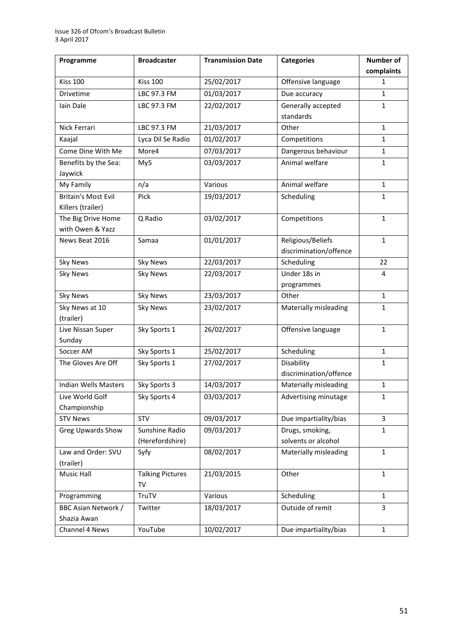| Programme                   | <b>Broadcaster</b>      | <b>Transmission Date</b> | <b>Categories</b>      | <b>Number of</b> |
|-----------------------------|-------------------------|--------------------------|------------------------|------------------|
|                             |                         |                          |                        | complaints       |
| <b>Kiss 100</b>             | <b>Kiss 100</b>         | 25/02/2017               | Offensive language     | 1                |
| Drivetime                   | LBC 97.3 FM             | 01/03/2017               | Due accuracy           | $\mathbf{1}$     |
| Iain Dale                   | LBC 97.3 FM             | 22/02/2017               | Generally accepted     | 1                |
|                             |                         |                          | standards              |                  |
| Nick Ferrari                | LBC 97.3 FM             | 21/03/2017               | Other                  | $\mathbf{1}$     |
| Kaajal                      | Lyca Dil Se Radio       | 01/02/2017               | Competitions           | 1                |
| Come Dine With Me           | More4                   | 07/03/2017               | Dangerous behaviour    | 1                |
| Benefits by the Sea:        | My5                     | 03/03/2017               | Animal welfare         | $\mathbf 1$      |
| Jaywick                     |                         |                          |                        |                  |
| My Family                   | n/a                     | Various                  | Animal welfare         | $\mathbf{1}$     |
| <b>Britain's Most Evil</b>  | Pick                    | 19/03/2017               | Scheduling             | $\mathbf{1}$     |
| Killers (trailer)           |                         |                          |                        |                  |
| The Big Drive Home          | Q Radio                 | 03/02/2017               | Competitions           | $\mathbf{1}$     |
| with Owen & Yazz            |                         |                          |                        |                  |
| News Beat 2016              | Samaa                   | 01/01/2017               | Religious/Beliefs      | $\mathbf{1}$     |
|                             |                         |                          | discrimination/offence |                  |
| <b>Sky News</b>             | <b>Sky News</b>         | 22/03/2017               | Scheduling             | 22               |
| <b>Sky News</b>             | <b>Sky News</b>         | 22/03/2017               | Under 18s in           | 4                |
|                             |                         |                          | programmes             |                  |
| <b>Sky News</b>             | <b>Sky News</b>         | 23/03/2017               | Other                  | $\mathbf{1}$     |
| Sky News at 10              | <b>Sky News</b>         | 23/02/2017               | Materially misleading  | 1                |
| (trailer)                   |                         |                          |                        |                  |
| Live Nissan Super           | Sky Sports 1            | 26/02/2017               | Offensive language     | $\mathbf{1}$     |
| Sunday                      |                         |                          |                        |                  |
| Soccer AM                   | Sky Sports 1            | 25/02/2017               | Scheduling             | $\mathbf{1}$     |
| The Gloves Are Off          | Sky Sports 1            | 27/02/2017               | Disability             | 1                |
|                             |                         |                          | discrimination/offence |                  |
| <b>Indian Wells Masters</b> | Sky Sports 3            | 14/03/2017               | Materially misleading  | 1                |
| Live World Golf             | Sky Sports 4            | 03/03/2017               | Advertising minutage   | 1                |
| Championship                |                         |                          |                        |                  |
| <b>STV News</b>             | STV                     | 09/03/2017               | Due impartiality/bias  | 3                |
| <b>Greg Upwards Show</b>    | Sunshine Radio          | 09/03/2017               | Drugs, smoking,        | 1                |
|                             | (Herefordshire)         |                          | solvents or alcohol    |                  |
| Law and Order: SVU          | Syfy                    | 08/02/2017               | Materially misleading  | $\mathbf{1}$     |
| (trailer)                   |                         |                          |                        |                  |
| Music Hall                  | <b>Talking Pictures</b> | 21/03/2015               | Other                  | $\mathbf{1}$     |
|                             | <b>TV</b>               |                          |                        |                  |
| Programming                 | TruTV                   | Various                  | Scheduling             | 1                |
| BBC Asian Network /         | Twitter                 | 18/03/2017               | Outside of remit       | 3                |
| Shazia Awan                 |                         |                          |                        |                  |
| Channel 4 News              | YouTube                 | 10/02/2017               | Due impartiality/bias  | $\mathbf{1}$     |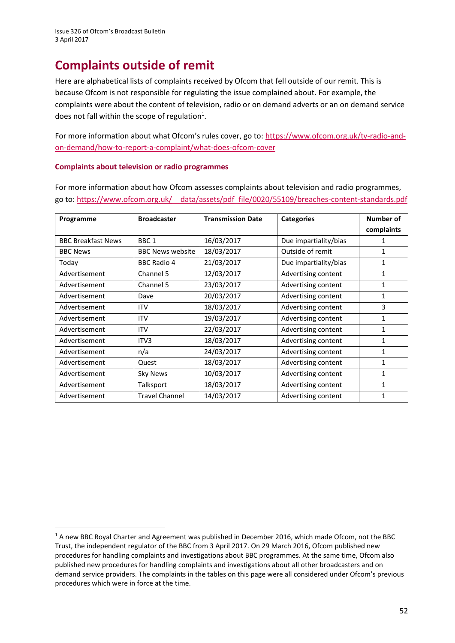**.** 

# **Complaints outside of remit**

Here are alphabetical lists of complaints received by Ofcom that fell outside of our remit. This is because Ofcom is not responsible for regulating the issue complained about. For example, the complaints were about the content of television, radio or on demand adverts or an on demand service does not fall within the scope of regulation<sup>1</sup>.

For more information about what Ofcom's rules cover, go to: [https://www.ofcom.org.uk/tv-radio-and](https://www.ofcom.org.uk/tv-radio-and-on-demand/how-to-report-a-complaint/what-does-ofcom-cover)[on-demand/how-to-report-a-complaint/what-does-ofcom-cover](https://www.ofcom.org.uk/tv-radio-and-on-demand/how-to-report-a-complaint/what-does-ofcom-cover)

#### **Complaints about television or radio programmes**

For more information about how Ofcom assesses complaints about television and radio programmes, go to[: https://www.ofcom.org.uk/\\_\\_data/assets/pdf\\_file/0020/55109/breaches-content-standards.pdf](https://www.ofcom.org.uk/__data/assets/pdf_file/0020/55109/breaches-content-standards.pdf)

| Programme                 | <b>Broadcaster</b>      | <b>Transmission Date</b> | <b>Categories</b>     | Number of    |
|---------------------------|-------------------------|--------------------------|-----------------------|--------------|
|                           |                         |                          |                       | complaints   |
| <b>BBC Breakfast News</b> | BBC <sub>1</sub>        | 16/03/2017               | Due impartiality/bias | 1            |
| <b>BBC News</b>           | <b>BBC News website</b> | 18/03/2017               | Outside of remit      | 1            |
| Today                     | <b>BBC Radio 4</b>      | 21/03/2017               | Due impartiality/bias | $\mathbf{1}$ |
| Advertisement             | Channel 5               | 12/03/2017               | Advertising content   | 1            |
| Advertisement             | Channel 5               | 23/03/2017               | Advertising content   | 1            |
| Advertisement             | Dave                    | 20/03/2017               | Advertising content   | $\mathbf{1}$ |
| Advertisement             | ITV                     | 18/03/2017               | Advertising content   | 3            |
| Advertisement             | <b>ITV</b>              | 19/03/2017               | Advertising content   | 1            |
| Advertisement             | <b>ITV</b>              | 22/03/2017               | Advertising content   | 1            |
| Advertisement             | ITV <sub>3</sub>        | 18/03/2017               | Advertising content   | 1            |
| Advertisement             | n/a                     | 24/03/2017               | Advertising content   | $\mathbf{1}$ |
| Advertisement             | Quest                   | 18/03/2017               | Advertising content   | 1            |
| Advertisement             | <b>Sky News</b>         | 10/03/2017               | Advertising content   | 1            |
| Advertisement             | Talksport               | 18/03/2017               | Advertising content   | 1            |
| Advertisement             | <b>Travel Channel</b>   | 14/03/2017               | Advertising content   | $\mathbf{1}$ |

<sup>&</sup>lt;sup>1</sup> A new BBC Royal Charter and Agreement was published in December 2016, which made Ofcom, not the BBC Trust, the independent regulator of the BBC from 3 April 2017. On 29 March 2016, Ofcom published new procedures for handling complaints and investigations about BBC programmes. At the same time, Ofcom also published new procedures for handling complaints and investigations about all other broadcasters and on demand service providers. The complaints in the tables on this page were all considered under Ofcom's previous procedures which were in force at the time.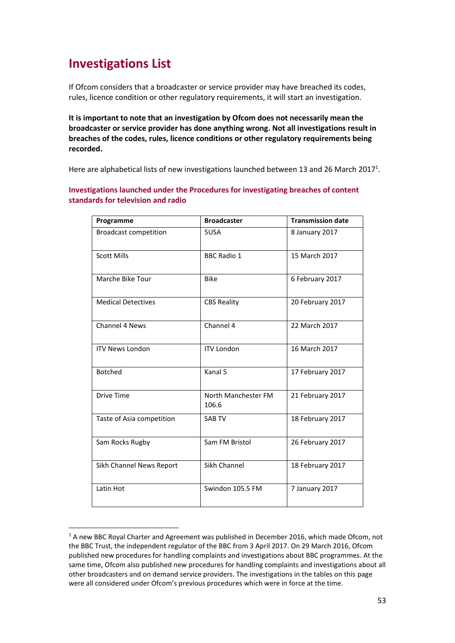# **Investigations List**

**.** 

If Ofcom considers that a broadcaster or service provider may have breached its codes, rules, licence condition or other regulatory requirements, it will start an investigation.

**It is important to note that an investigation by Ofcom does not necessarily mean the broadcaster or service provider has done anything wrong. Not all investigations result in breaches of the codes, rules, licence conditions or other regulatory requirements being recorded.**

Here are alphabetical lists of new investigations launched between 13 and 26 March 2017<sup>1</sup>.

**Investigations launched under the Procedures for investigating breaches of content standards for television and radio**

| Programme                    | <b>Broadcaster</b>           | <b>Transmission date</b> |
|------------------------------|------------------------------|--------------------------|
| <b>Broadcast competition</b> | 5USA                         | 8 January 2017           |
| <b>Scott Mills</b>           | <b>BBC Radio 1</b>           | 15 March 2017            |
| Marche Bike Tour             | <b>Bike</b>                  | 6 February 2017          |
| <b>Medical Detectives</b>    | <b>CBS Reality</b>           | 20 February 2017         |
| <b>Channel 4 News</b>        | Channel 4                    | 22 March 2017            |
| <b>ITV News London</b>       | <b>ITV London</b>            | 16 March 2017            |
| <b>Botched</b>               | Kanal 5                      | 17 February 2017         |
| <b>Drive Time</b>            | North Manchester FM<br>106.6 | 21 February 2017         |
| Taste of Asia competition    | <b>SAB TV</b>                | 18 February 2017         |
| Sam Rocks Rugby              | Sam FM Bristol               | 26 February 2017         |
| Sikh Channel News Report     | Sikh Channel                 | 18 February 2017         |
| Latin Hot                    | Swindon 105.5 FM             | 7 January 2017           |

<sup>&</sup>lt;sup>1</sup> A new BBC Royal Charter and Agreement was published in December 2016, which made Ofcom, not the BBC Trust, the independent regulator of the BBC from 3 April 2017. On 29 March 2016, Ofcom published new procedures for handling complaints and investigations about BBC programmes. At the same time, Ofcom also published new procedures for handling complaints and investigations about all other broadcasters and on demand service providers. The investigations in the tables on this page were all considered under Ofcom's previous procedures which were in force at the time.